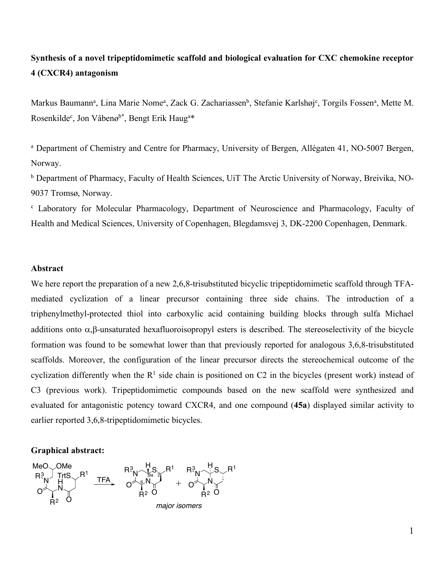# **Synthesis of a novel tripeptidomimetic scaffold and biological evaluation for CXC chemokine receptor 4 (CXCR4) antagonism**

Markus Baumann<sup>a</sup>, Lina Marie Nome<sup>a</sup>, Zack G. Zachariassen<sup>b</sup>, Stefanie Karlshøj<sup>c</sup>, Torgils Fossen<sup>a</sup>, Mette M. Rosenkilde<sup>c</sup>, Jon Våbenø<sup>b\*</sup>, Bengt Erik Haug<sup>a\*</sup>

<sup>a</sup> Department of Chemistry and Centre for Pharmacy, University of Bergen, Allégaten 41, NO-5007 Bergen, Norway.

<sup>b</sup> Department of Pharmacy, Faculty of Health Sciences, UiT The Arctic University of Norway, Breivika, NO-9037 Tromsø, Norway.

<sup>c</sup> Laboratory for Molecular Pharmacology, Department of Neuroscience and Pharmacology, Faculty of Health and Medical Sciences, University of Copenhagen, Blegdamsvej 3, DK-2200 Copenhagen, Denmark.

### **Abstract**

We here report the preparation of a new 2,6,8-trisubstituted bicyclic tripeptidomimetic scaffold through TFAmediated cyclization of a linear precursor containing three side chains. The introduction of a triphenylmethyl-protected thiol into carboxylic acid containing building blocks through sulfa Michael additions onto  $\alpha$ , $\beta$ -unsaturated hexafluoroisopropyl esters is described. The stereoselectivity of the bicycle formation was found to be somewhat lower than that previously reported for analogous 3,6,8-trisubstituted scaffolds. Moreover, the configuration of the linear precursor directs the stereochemical outcome of the cyclization differently when the  $R<sup>1</sup>$  side chain is positioned on C2 in the bicycles (present work) instead of C3 (previous work). Tripeptidomimetic compounds based on the new scaffold were synthesized and evaluated for antagonistic potency toward CXCR4, and one compound (**45a**) displayed similar activity to earlier reported 3,6,8-tripeptidomimetic bicycles.

#### **Graphical abstract:**

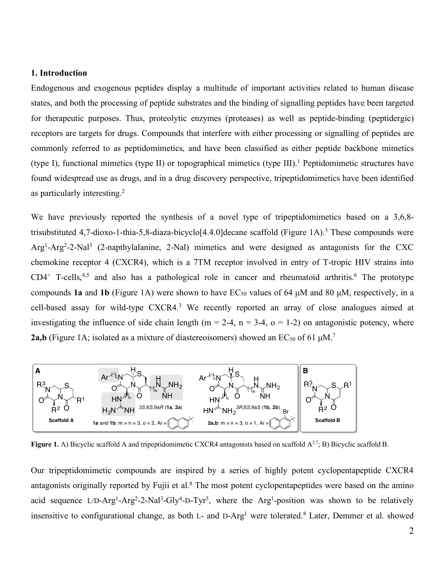### **1. Introduction**

Endogenous and exogenous peptides display a multitude of important activities related to human disease states, and both the processing of peptide substrates and the binding of signalling peptides have been targeted for therapeutic purposes. Thus, proteolytic enzymes (proteases) as well as peptide-binding (peptidergic) receptors are targets for drugs. Compounds that interfere with either processing or signalling of peptides are commonly referred to as peptidomimetics, and have been classified as either peptide backbone mimetics (type I), functional mimetics (type II) or topographical mimetics (type III).1 Peptidomimetic structures have found widespread use as drugs, and in a drug discovery perspective, tripeptidomimetics have been identified as particularly interesting.2

We have previously reported the synthesis of a novel type of tripeptidomimetics based on a 3.6.8trisubstituted 4,7-dioxo-1-thia-5,8-diaza-bicyclo<sup>[4.4.0]</sup>decane scaffold (Figure 1A).<sup>3</sup> These compounds were Arg1-Arg2-2-Nal3 (2-napthylalanine, 2-Nal) mimetics and were designed as antagonists for the CXC chemokine receptor 4 (CXCR4), which is a 7TM receptor involved in entry of T-tropic HIV strains into  $CD4^+$  T-cells,<sup>4,5</sup> and also has a pathological role in cancer and rheumatoid arthritis.<sup>6</sup> The prototype compounds **1a** and **1b** (Figure 1A) were shown to have  $EC_{50}$  values of 64  $\mu$ M and 80  $\mu$ M, respectively, in a cell-based assay for wild-type CXCR4.<sup>3</sup> We recently reported an array of close analogues aimed at investigating the influence of side chain length ( $m = 2-4$ ,  $n = 3-4$ ,  $o = 1-2$ ) on antagonistic potency, where **2a,b** (Figure 1A; isolated as a mixture of diastereoisomers) showed an  $EC_{50}$  of 61  $\mu$ M.<sup>7</sup>



**Figure 1.** A) Bicyclic scaffold A and tripeptidomimetic CXCR4 antagonists based on scaffold  $A^{3,7}$ ; B) Bicyclic scaffold B.

Our tripeptidomimetic compounds are inspired by a series of highly potent cyclopentapeptide CXCR4 antagonists originally reported by Fujii et al.<sup>8</sup> The most potent cyclopentapeptides were based on the amino acid sequence L/D-Arg<sup>1</sup>-Arg<sup>2</sup>-2-Nal<sup>3</sup>-Gly<sup>4</sup>-D-Tyr<sup>5</sup>, where the Arg<sup>1</sup>-position was shown to be relatively insensitive to configurational change, as both L- and D-Arg<sup>1</sup> were tolerated.<sup>8</sup> Later, Demmer et al. showed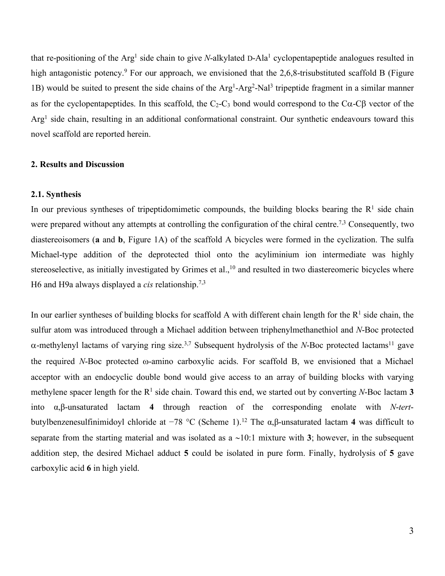that re-positioning of the Arg<sup>1</sup> side chain to give *N*-alkylated D-Ala<sup>1</sup> cyclopentapeptide analogues resulted in high antagonistic potency.<sup>9</sup> For our approach, we envisioned that the 2,6,8-trisubstituted scaffold B (Figure 1B) would be suited to present the side chains of the Arg<sup>1</sup>-Arg<sup>2</sup>-Nal<sup>3</sup> tripeptide fragment in a similar manner as for the cyclopentapeptides. In this scaffold, the  $C_2-C_3$  bond would correspond to the  $C\alpha$ -C $\beta$  vector of the Arg<sup>1</sup> side chain, resulting in an additional conformational constraint. Our synthetic endeavours toward this novel scaffold are reported herein.

# **2. Results and Discussion**

## **2.1. Synthesis**

In our previous syntheses of tripeptidomimetic compounds, the building blocks bearing the  $R<sup>1</sup>$  side chain were prepared without any attempts at controlling the configuration of the chiral centre.<sup>7,3</sup> Consequently, two diastereoisomers (**a** and **b**, Figure 1A) of the scaffold A bicycles were formed in the cyclization. The sulfa Michael-type addition of the deprotected thiol onto the acyliminium ion intermediate was highly stereoselective, as initially investigated by Grimes et al.,<sup>10</sup> and resulted in two diastereomeric bicycles where H6 and H9a always displayed a *cis* relationship.7,3

In our earlier syntheses of building blocks for scaffold A with different chain length for the  $R<sup>1</sup>$  side chain, the sulfur atom was introduced through a Michael addition between triphenylmethanethiol and *N*-Boc protected  $\alpha$ -methylenyl lactams of varying ring size.<sup>3,7</sup> Subsequent hydrolysis of the *N*-Boc protected lactams<sup>11</sup> gave the required *N*-Boc protected w-amino carboxylic acids. For scaffold B, we envisioned that a Michael acceptor with an endocyclic double bond would give access to an array of building blocks with varying methylene spacer length for the  $R<sup>1</sup>$  side chain. Toward this end, we started out by converting *N*-Boc lactam 3 into α,β-unsaturated lactam **4** through reaction of the corresponding enolate with *N*-*tert*butylbenzenesulfinimidoyl chloride at −78 °C (Scheme 1). <sup>12</sup> The α,β-unsaturated lactam **4** was difficult to separate from the starting material and was isolated as a ~10:1 mixture with **3**; however, in the subsequent addition step, the desired Michael adduct **5** could be isolated in pure form. Finally, hydrolysis of **5** gave carboxylic acid **6** in high yield.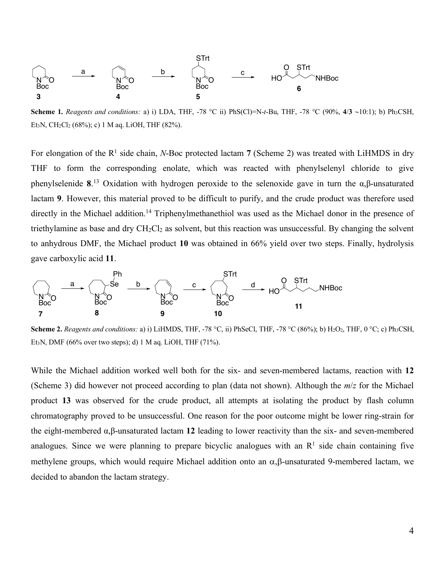

**Scheme 1.** *Reagents and conditions:* a) i) LDA, THF, -78 °C ii) PhS(Cl)=N-*t*-Bu, THF, -78 °C (90%, **4**/**3** ~10:1); b) Ph3CSH, Et<sub>3</sub>N, CH<sub>2</sub>Cl<sub>2</sub> (68%); c) 1 M ag. LiOH, THF (82%).

For elongation of the  $R^1$  side chain, *N*-Boc protected lactam 7 (Scheme 2) was treated with LiHMDS in dry THF to form the corresponding enolate, which was reacted with phenylselenyl chloride to give phenylselenide **8**. <sup>13</sup> Oxidation with hydrogen peroxide to the selenoxide gave in turn the α,β-unsaturated lactam **9**. However, this material proved to be difficult to purify, and the crude product was therefore used directly in the Michael addition.<sup>14</sup> Triphenylmethanethiol was used as the Michael donor in the presence of triethylamine as base and dry  $CH_2Cl_2$  as solvent, but this reaction was unsuccessful. By changing the solvent to anhydrous DMF, the Michael product **10** was obtained in 66% yield over two steps. Finally, hydrolysis gave carboxylic acid **11**.



**Scheme 2.** *Reagents and conditions:* a) i) LiHMDS, THF, -78 °C, ii) PhSeCl, THF, -78 °C (86%); b) H2O2, THF, 0 °C; c) Ph3CSH, Et<sub>3</sub>N, DMF (66% over two steps); d) 1 M aq. LiOH, THF (71%).

While the Michael addition worked well both for the six- and seven-membered lactams, reaction with **12** (Scheme 3) did however not proceed according to plan (data not shown). Although the *m*/*z* for the Michael product **13** was observed for the crude product, all attempts at isolating the product by flash column chromatography proved to be unsuccessful. One reason for the poor outcome might be lower ring-strain for the eight-membered α,β-unsaturated lactam **12** leading to lower reactivity than the six- and seven-membered analogues. Since we were planning to prepare bicyclic analogues with an  $R<sup>1</sup>$  side chain containing five methylene groups, which would require Michael addition onto an  $\alpha$ ,  $\beta$ -unsaturated 9-membered lactam, we decided to abandon the lactam strategy.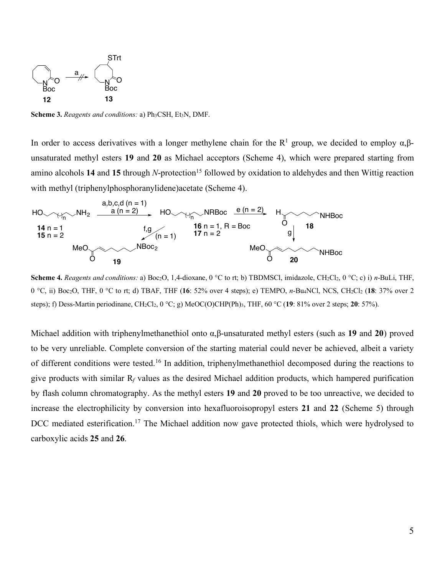

**Scheme 3.** *Reagents and conditions: a)*  $Ph<sub>3</sub>CSH, Et<sub>3</sub>N, DMF.$ 

In order to access derivatives with a longer methylene chain for the  $R<sup>1</sup>$  group, we decided to employ  $\alpha, \beta$ unsaturated methyl esters **19** and **20** as Michael acceptors (Scheme 4), which were prepared starting from amino alcohols 14 and 15 through *N*-protection<sup>15</sup> followed by oxidation to aldehydes and then Wittig reaction with methyl (triphenylphosphoranylidene)acetate (Scheme 4).



**Scheme 4.** *Reagents and conditions: a*) Boc<sub>2</sub>O, 1,4-dioxane, 0 °C to rt; b) TBDMSCl, imidazole, CH<sub>2</sub>Cl<sub>2</sub>, 0 °C; c) i) *n*-BuLi, THF, 0 °C, ii) Boc2O, THF, 0 °C to rt; d) TBAF, THF (**16**: 52% over 4 steps); e) TEMPO, *n*-Bu4NCl, NCS, CH2Cl2 (**18**: 37% over 2 steps); f) Dess-Martin periodinane, CH2Cl2, 0 °C; g) MeOC(O)CHP(Ph)3, THF, 60 °C (**19**: 81% over 2 steps; **20**: 57%).

Michael addition with triphenylmethanethiol onto α,β-unsaturated methyl esters (such as **19** and **20**) proved to be very unreliable. Complete conversion of the starting material could never be achieved, albeit a variety of different conditions were tested.<sup>16</sup> In addition, triphenylmethanethiol decomposed during the reactions to give products with similar R*<sup>f</sup>* values as the desired Michael addition products, which hampered purification by flash column chromatography. As the methyl esters **19** and **20** proved to be too unreactive, we decided to increase the electrophilicity by conversion into hexafluoroisopropyl esters **21** and **22** (Scheme 5) through DCC mediated esterification.<sup>17</sup> The Michael addition now gave protected thiols, which were hydrolysed to carboxylic acids **25** and **26**.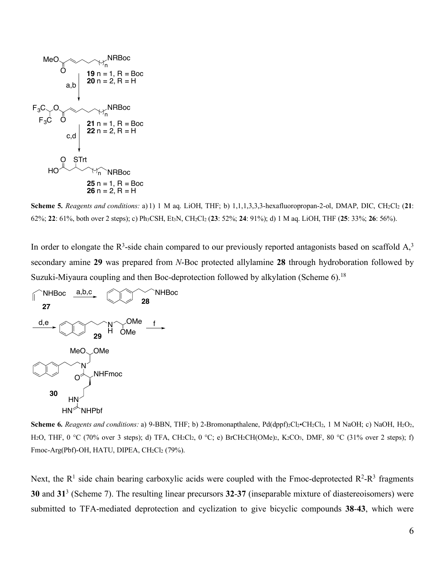

**Scheme 5.** *Reagents and conditions:* a) 1) 1 M aq. LiOH, THF; b) 1,1,1,3,3,3-hexafluoropropan-2-ol, DMAP, DIC, CH2Cl2 (**21**: 62%; **22**: 61%, both over 2 steps); c) Ph3CSH, Et3N, CH2Cl2 (**23**: 52%; **24**: 91%); d) 1 M aq. LiOH, THF (**25**: 33%; **26**: 56%).

In order to elongate the  $R^3$ -side chain compared to our previously reported antagonists based on scaffold  $A<sub>3</sub>$ <sup>3</sup> secondary amine **29** was prepared from *N*-Boc protected allylamine **28** through hydroboration followed by Suzuki-Miyaura coupling and then Boc-deprotection followed by alkylation (Scheme 6).<sup>18</sup>



**Scheme 6.** *Reagents and conditions: a*) 9-BBN, THF; b) 2-Bromonapthalene, Pd(dppf)<sub>2</sub>Cl<sub>2</sub>•CH<sub>2</sub>Cl<sub>2</sub>, 1 M NaOH; c) NaOH, H<sub>2</sub>O<sub>2</sub>, H<sub>2</sub>O, THF, 0 °C (70% over 3 steps); d) TFA, CH<sub>2</sub>Cl<sub>2</sub>, 0 °C; e) BrCH<sub>2</sub>CH(OMe)<sub>2</sub>, K<sub>2</sub>CO<sub>3</sub>, DMF, 80 °C (31% over 2 steps); f) Fmoc-Arg(Pbf)-OH, HATU, DIPEA, CH2Cl2 (79%).

Next, the  $R^1$  side chain bearing carboxylic acids were coupled with the Fmoc-deprotected  $R^2-R^3$  fragments **30** and **31**<sup>3</sup> (Scheme 7). The resulting linear precursors **32**-**37** (inseparable mixture of diastereoisomers) were submitted to TFA-mediated deprotection and cyclization to give bicyclic compounds **38**-**43**, which were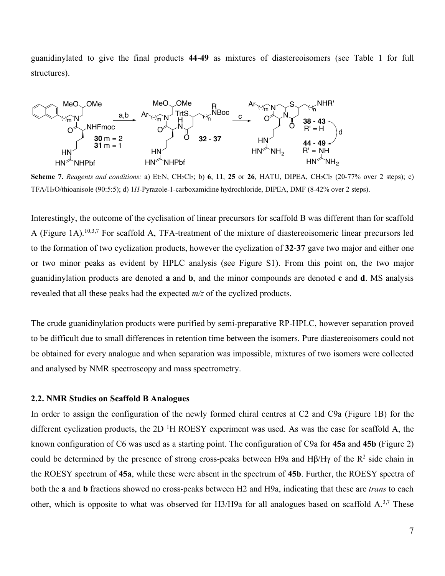guanidinylated to give the final products **44**-**49** as mixtures of diastereoisomers (see Table 1 for full structures).



**Scheme 7.** Reagents and conditions: a) Et<sub>2</sub>N, CH<sub>2</sub>Cl<sub>2</sub>; b) 6, 11, 25 or 26, HATU, DIPEA, CH<sub>2</sub>Cl<sub>2</sub> (20-77% over 2 steps); c) TFA/H2O/thioanisole (90:5:5); d) 1*H*-Pyrazole-1-carboxamidine hydrochloride, DIPEA, DMF (8-42% over 2 steps).

Interestingly, the outcome of the cyclisation of linear precursors for scaffold B was different than for scaffold A (Figure 1A).10,3,7 For scaffold A, TFA-treatment of the mixture of diastereoisomeric linear precursors led to the formation of two cyclization products, however the cyclization of **32**-**37** gave two major and either one or two minor peaks as evident by HPLC analysis (see Figure S1). From this point on, the two major guanidinylation products are denoted **a** and **b**, and the minor compounds are denoted **c** and **d**. MS analysis revealed that all these peaks had the expected *m/z* of the cyclized products.

The crude guanidinylation products were purified by semi-preparative RP-HPLC, however separation proved to be difficult due to small differences in retention time between the isomers. Pure diastereoisomers could not be obtained for every analogue and when separation was impossible, mixtures of two isomers were collected and analysed by NMR spectroscopy and mass spectrometry.

#### **2.2. NMR Studies on Scaffold B Analogues**

In order to assign the configuration of the newly formed chiral centres at C2 and C9a (Figure 1B) for the different cyclization products, the 2D<sup>1</sup>H ROESY experiment was used. As was the case for scaffold A, the known configuration of C6 was used as a starting point. The configuration of C9a for **45a** and **45b** (Figure 2) could be determined by the presence of strong cross-peaks between H9a and H $\beta$ /H $\gamma$  of the R<sup>2</sup> side chain in the ROESY spectrum of **45a**, while these were absent in the spectrum of **45b**. Further, the ROESY spectra of both the **a** and **b** fractions showed no cross-peaks between H2 and H9a, indicating that these are *trans* to each other, which is opposite to what was observed for H3/H9a for all analogues based on scaffold  $A^{3,7}$ . These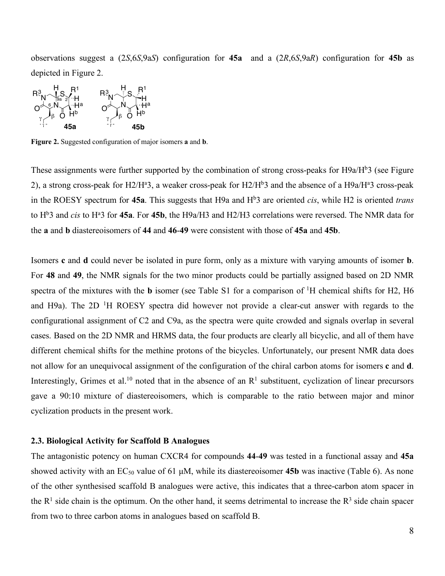observations suggest a (2*S*,6*S*,9a*S*) configuration for **45a** and a (2*R*,6*S*,9a*R*) configuration for **45b** as depicted in Figure 2.



**Figure 2.** Suggested configuration of major isomers **a** and **b**.

These assignments were further supported by the combination of strong cross-peaks for H9a/H<sup>b</sup>3 (see Figure 2), a strong cross-peak for H2/H<sup>a</sup>3, a weaker cross-peak for H2/H<sup>b</sup>3 and the absence of a H9a/H<sup>a</sup>3 cross-peak in the ROESY spectrum for 45a. This suggests that H9a and H<sup>b</sup>3 are oriented *cis*, while H2 is oriented *trans* to H<sup>b</sup>3 and *cis* to H<sup>a</sup>3 for 45a. For 45b, the H9a/H3 and H2/H3 correlations were reversed. The NMR data for the **a** and **b** diastereoisomers of **44** and **46**-**49** were consistent with those of **45a** and **45b**.

Isomers **c** and **d** could never be isolated in pure form, only as a mixture with varying amounts of isomer **b**. For **48** and **49**, the NMR signals for the two minor products could be partially assigned based on 2D NMR spectra of the mixtures with the **b** isomer (see Table S1 for a comparison of <sup>1</sup>H chemical shifts for H2, H6 and H9a). The 2D<sup>1</sup>H ROESY spectra did however not provide a clear-cut answer with regards to the configurational assignment of C2 and C9a, as the spectra were quite crowded and signals overlap in several cases. Based on the 2D NMR and HRMS data, the four products are clearly all bicyclic, and all of them have different chemical shifts for the methine protons of the bicycles. Unfortunately, our present NMR data does not allow for an unequivocal assignment of the configuration of the chiral carbon atoms for isomers **c** and **d**. Interestingly, Grimes et al.<sup>10</sup> noted that in the absence of an  $R<sup>1</sup>$  substituent, cyclization of linear precursors gave a 90:10 mixture of diastereoisomers, which is comparable to the ratio between major and minor cyclization products in the present work.

### **2.3. Biological Activity for Scaffold B Analogues**

The antagonistic potency on human CXCR4 for compounds **44**-**49** was tested in a functional assay and **45a** showed activity with an  $EC_{50}$  value of 61  $\mu$ M, while its diastereoisomer **45b** was inactive (Table 6). As none of the other synthesised scaffold B analogues were active, this indicates that a three-carbon atom spacer in the  $R<sup>1</sup>$  side chain is the optimum. On the other hand, it seems detrimental to increase the  $R<sup>3</sup>$  side chain spacer from two to three carbon atoms in analogues based on scaffold B.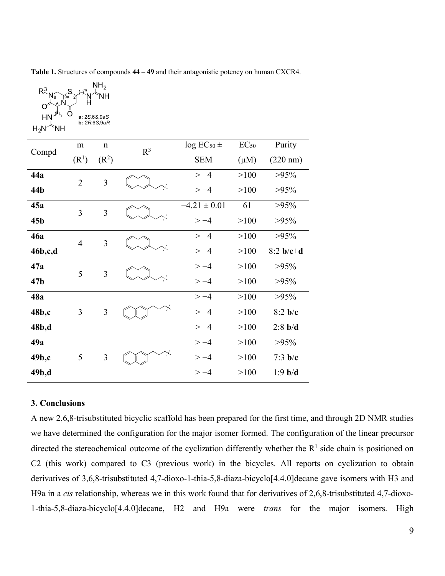**Table 1.** Structures of compounds **44** – **49** and their antagonistic potency on human CXCR4.

| $R^3_{N_8}$<br>$\mathcal{L}$<br>$\circ$                                           |                | NH <sub>2</sub><br><b>NH</b> |                |                  |           |                    |
|-----------------------------------------------------------------------------------|----------------|------------------------------|----------------|------------------|-----------|--------------------|
| $\frac{1}{n}$<br>HN<br>a: 2S,6S,9aS<br>b: 2R, 6S, 9aR<br>$H_2N^{\nwarrow}$<br>`NH |                |                              |                |                  |           |                    |
| Compd                                                                             | m              | $\mathbf n$                  | R <sup>3</sup> | $log EC_{50}$ ±  | $EC_{50}$ | Purity             |
|                                                                                   | $(R^1)$        | (R <sup>2</sup> )            |                | <b>SEM</b>       | $(\mu M)$ | $(220 \text{ nm})$ |
| 44a                                                                               | $\overline{2}$ | $\overline{3}$               |                | $>-4$            | >100      | $>95\%$            |
| 44b                                                                               |                |                              |                | $>-4$            | >100      | $>95\%$            |
| 45a                                                                               | $\overline{3}$ | $\overline{3}$               |                | $-4.21 \pm 0.01$ | 61        | $>95\%$            |
| 45 <sub>b</sub>                                                                   |                |                              |                | $>-4$            | >100      | $>95\%$            |
| 46a                                                                               | $\overline{4}$ | 3                            |                | $>-4$            | >100      | $>95\%$            |
| 46b,c,d                                                                           |                |                              |                | $>-4$            | >100      | $8:2 b/c+d$        |
| 47a                                                                               | 5              | 3                            |                | $>-4$            | >100      | $>95\%$            |
| 47 <sub>b</sub>                                                                   |                |                              |                | $>-4$            | >100      | $>95\%$            |
| 48a                                                                               |                |                              |                | $>-4$            | >100      | $>95\%$            |
| 48b,c                                                                             | $\overline{3}$ | 3                            |                | $>-4$            | >100      | 8:2 <sub>b/c</sub> |
| 48b,d                                                                             |                |                              |                | $>-4$            | >100      | $2:8$ b/d          |
| 49a                                                                               |                |                              |                | $>-4$            | >100      | $>95\%$            |
| 49b,c                                                                             | 5              | $\mathfrak{Z}$               |                | $>-4$            | >100      | $7:3$ b/c          |
| 49b,d                                                                             |                |                              |                | $> -4$           | >100      | $1:9$ b/d          |

# **3. Conclusions**

A new 2,6,8-trisubstituted bicyclic scaffold has been prepared for the first time, and through 2D NMR studies we have determined the configuration for the major isomer formed. The configuration of the linear precursor directed the stereochemical outcome of the cyclization differently whether the  $R<sup>1</sup>$  side chain is positioned on C2 (this work) compared to C3 (previous work) in the bicycles. All reports on cyclization to obtain derivatives of 3,6,8-trisubstituted 4,7-dioxo-1-thia-5,8-diaza-bicyclo[4.4.0]decane gave isomers with H3 and H9a in a *cis* relationship, whereas we in this work found that for derivatives of 2,6,8-trisubstituted 4,7-dioxo-1-thia-5,8-diaza-bicyclo[4.4.0]decane, H2 and H9a were *trans* for the major isomers. High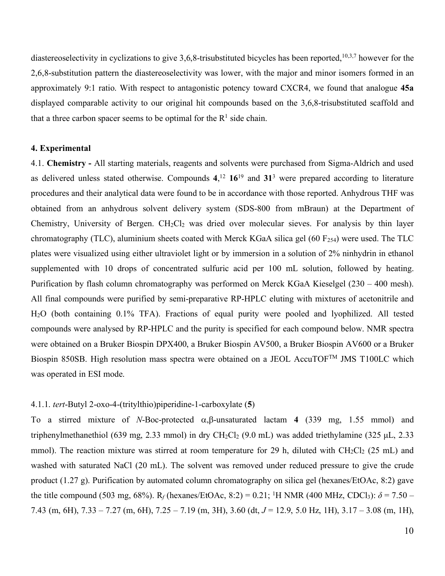diastereoselectivity in cyclizations to give 3.6.8-trisubstituted bicycles has been reported,<sup>10,3,7</sup> however for the 2,6,8-substitution pattern the diastereoselectivity was lower, with the major and minor isomers formed in an approximately 9:1 ratio. With respect to antagonistic potency toward CXCR4, we found that analogue **45a** displayed comparable activity to our original hit compounds based on the 3,6,8-trisubstituted scaffold and that a three carbon spacer seems to be optimal for the  $R<sup>1</sup>$  side chain.

# **4. Experimental**

4.1. **Chemistry -** All starting materials, reagents and solvents were purchased from Sigma-Aldrich and used as delivered unless stated otherwise. Compounds **4**, <sup>12</sup> **16**<sup>19</sup> and **31**<sup>3</sup> were prepared according to literature procedures and their analytical data were found to be in accordance with those reported. Anhydrous THF was obtained from an anhydrous solvent delivery system (SDS-800 from mBraun) at the Department of Chemistry, University of Bergen.  $CH_2Cl_2$  was dried over molecular sieves. For analysis by thin layer chromatography (TLC), aluminium sheets coated with Merck KGaA silica gel (60  $F_{254}$ ) were used. The TLC plates were visualized using either ultraviolet light or by immersion in a solution of 2% ninhydrin in ethanol supplemented with 10 drops of concentrated sulfuric acid per 100 mL solution, followed by heating. Purification by flash column chromatography was performed on Merck KGaA Kieselgel (230 – 400 mesh). All final compounds were purified by semi-preparative RP-HPLC eluting with mixtures of acetonitrile and H2O (both containing 0.1% TFA). Fractions of equal purity were pooled and lyophilized. All tested compounds were analysed by RP-HPLC and the purity is specified for each compound below. NMR spectra were obtained on a Bruker Biospin DPX400, a Bruker Biospin AV500, a Bruker Biospin AV600 or a Bruker Biospin 850SB. High resolution mass spectra were obtained on a JEOL AccuTOF<sup>TM</sup> JMS T100LC which was operated in ESI mode.

# 4.1.1. *tert*-Butyl 2-oxo-4-(tritylthio)piperidine-1-carboxylate (**5**)

To a stirred mixture of *N*-Boc-protected  $\alpha$ ,  $\beta$ -unsaturated lactam **4** (339 mg, 1.55 mmol) and triphenylmethanethiol (639 mg, 2.33 mmol) in dry CH<sub>2</sub>Cl<sub>2</sub> (9.0 mL) was added triethylamine (325 µL, 2.33 mmol). The reaction mixture was stirred at room temperature for 29 h, diluted with  $CH_2Cl_2$  (25 mL) and washed with saturated NaCl (20 mL). The solvent was removed under reduced pressure to give the crude product (1.27 g). Purification by automated column chromatography on silica gel (hexanes/EtOAc, 8:2) gave the title compound (503 mg, 68%). R<sub>f</sub> (hexanes/EtOAc, 8:2) = 0.21; <sup>1</sup>H NMR (400 MHz, CDCl<sub>3</sub>):  $\delta$  = 7.50 – 7.43 (m, 6H), 7.33 – 7.27 (m, 6H), 7.25 – 7.19 (m, 3H), 3.60 (dt, *J* = 12.9, 5.0 Hz, 1H), 3.17 – 3.08 (m, 1H),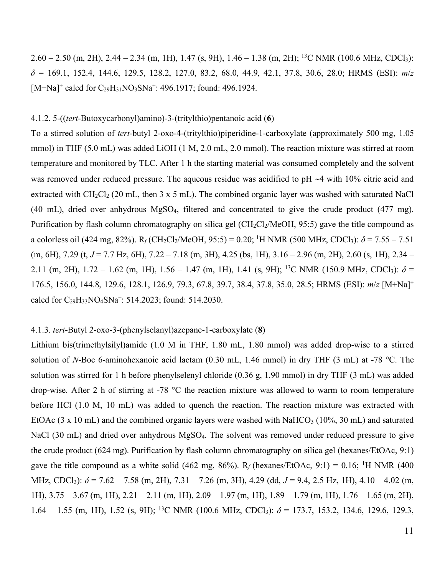$2.60 - 2.50$  (m, 2H),  $2.44 - 2.34$  (m, 1H),  $1.47$  (s, 9H),  $1.46 - 1.38$  (m, 2H); <sup>13</sup>C NMR (100.6 MHz, CDCl<sub>3</sub>): *δ* = 169.1, 152.4, 144.6, 129.5, 128.2, 127.0, 83.2, 68.0, 44.9, 42.1, 37.8, 30.6, 28.0; HRMS (ESI): *m*/*z* [M+Na]<sup>+</sup> calcd for C<sub>29</sub>H<sub>31</sub>NO<sub>3</sub>SNa<sup>+</sup>: 496.1917; found: 496.1924.

# 4.1.2. 5-((*tert*-Butoxycarbonyl)amino)-3-(tritylthio)pentanoic acid (**6**)

To a stirred solution of *tert*-butyl 2-oxo-4-(tritylthio)piperidine-1-carboxylate (approximately 500 mg, 1.05 mmol) in THF (5.0 mL) was added LiOH (1 M, 2.0 mL, 2.0 mmol). The reaction mixture was stirred at room temperature and monitored by TLC. After 1 h the starting material was consumed completely and the solvent was removed under reduced pressure. The aqueous residue was acidified to  $pH \sim 4$  with 10% citric acid and extracted with  $CH_2Cl_2$  (20 mL, then 3 x 5 mL). The combined organic layer was washed with saturated NaCl (40 mL), dried over anhydrous MgSO4, filtered and concentrated to give the crude product (477 mg). Purification by flash column chromatography on silica gel ( $CH_2Cl_2/MeOH$ , 95:5) gave the title compound as a colorless oil (424 mg, 82%).  $R_f$  (CH<sub>2</sub>Cl<sub>2</sub>/MeOH, 95:5) = 0.20; <sup>1</sup>H NMR (500 MHz, CDCl<sub>3</sub>):  $\delta$  = 7.55 – 7.51 (m, 6H), 7.29 (t, *J* = 7.7 Hz, 6H), 7.22 – 7.18 (m, 3H), 4.25 (bs, 1H), 3.16 – 2.96 (m, 2H), 2.60 (s, 1H), 2.34 – 2.11 (m, 2H),  $1.72 - 1.62$  (m, 1H),  $1.56 - 1.47$  (m, 1H),  $1.41$  (s, 9H); <sup>13</sup>C NMR (150.9 MHz, CDCl<sub>3</sub>):  $\delta$  = 176.5, 156.0, 144.8, 129.6, 128.1, 126.9, 79.3, 67.8, 39.7, 38.4, 37.8, 35.0, 28.5; HRMS (ESI): *m*/*z* [M+Na]+ calcd for C29H33NO4SNa+: 514.2023; found: 514.2030.

# 4.1.3. *tert*-Butyl 2-oxo-3-(phenylselanyl)azepane-1-carboxylate (**8**)

Lithium bis(trimethylsilyl)amide (1.0 M in THF, 1.80 mL, 1.80 mmol) was added drop-wise to a stirred solution of *N*-Boc 6-aminohexanoic acid lactam (0.30 mL, 1.46 mmol) in dry THF (3 mL) at -78 °C. The solution was stirred for 1 h before phenylselenyl chloride (0.36 g, 1.90 mmol) in dry THF (3 mL) was added drop-wise. After 2 h of stirring at -78 °C the reaction mixture was allowed to warm to room temperature before HCl (1.0 M, 10 mL) was added to quench the reaction. The reaction mixture was extracted with EtOAc  $(3 \times 10 \text{ mL})$  and the combined organic layers were washed with NaHCO<sub>3</sub> (10%, 30 mL) and saturated NaCl (30 mL) and dried over anhydrous MgSO<sub>4</sub>. The solvent was removed under reduced pressure to give the crude product (624 mg). Purification by flash column chromatography on silica gel (hexanes/EtOAc, 9:1) gave the title compound as a white solid (462 mg, 86%).  $R_f$  (hexanes/EtOAc, 9:1) = 0.16; <sup>1</sup>H NMR (400) MHz, CDCl3): *δ* = 7.62 – 7.58 (m, 2H), 7.31 – 7.26 (m, 3H), 4.29 (dd, *J* = 9.4, 2.5 Hz, 1H), 4.10 – 4.02 (m, 1H), 3.75 – 3.67 (m, 1H), 2.21 – 2.11 (m, 1H), 2.09 – 1.97 (m, 1H), 1.89 – 1.79 (m, 1H), 1.76 – 1.65 (m, 2H), 1.64 – 1.55 (m, 1H), 1.52 (s, 9H); <sup>13</sup>C NMR (100.6 MHz, CDCl<sub>3</sub>):  $\delta$  = 173.7, 153.2, 134.6, 129.6, 129.3,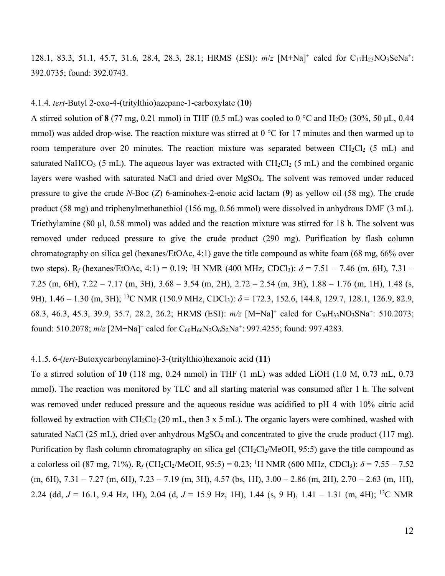128.1, 83.3, 51.1, 45.7, 31.6, 28.4, 28.3, 28.1; HRMS (ESI): *m*/*z* [M+Na]+ calcd for C17H23NO3SeNa+: 392.0735; found: 392.0743.

### 4.1.4. *tert*-Butyl 2-oxo-4-(tritylthio)azepane-1-carboxylate (**10**)

A stirred solution of  $8(77 \text{ mg}, 0.21 \text{ mmol})$  in THF (0.5 mL) was cooled to 0 °C and H<sub>2</sub>O<sub>2</sub> (30%, 50 µL, 0.44 mmol) was added drop-wise. The reaction mixture was stirred at 0 °C for 17 minutes and then warmed up to room temperature over 20 minutes. The reaction mixture was separated between  $CH_2Cl_2$  (5 mL) and saturated NaHCO<sub>3</sub> (5 mL). The aqueous layer was extracted with  $CH<sub>2</sub>Cl<sub>2</sub>$  (5 mL) and the combined organic layers were washed with saturated NaCl and dried over MgSO<sub>4</sub>. The solvent was removed under reduced pressure to give the crude *N*-Boc (*Z*) 6-aminohex-2-enoic acid lactam (**9**) as yellow oil (58 mg). The crude product (58 mg) and triphenylmethanethiol (156 mg, 0.56 mmol) were dissolved in anhydrous DMF (3 mL). Triethylamine (80 µl, 0.58 mmol) was added and the reaction mixture was stirred for 18 h. The solvent was removed under reduced pressure to give the crude product (290 mg). Purification by flash column chromatography on silica gel (hexanes/EtOAc, 4:1) gave the title compound as white foam (68 mg, 66% over two steps).  $R_f$  (hexanes/EtOAc, 4:1) = 0.19; <sup>1</sup>H NMR (400 MHz, CDCl<sub>3</sub>):  $\delta$  = 7.51 – 7.46 (m. 6H), 7.31 – 7.25 (m, 6H), 7.22 – 7.17 (m, 3H), 3.68 – 3.54 (m, 2H), 2.72 – 2.54 (m, 3H), 1.88 – 1.76 (m, 1H), 1.48 (s, 9H), 1.46 – 1.30 (m, 3H); <sup>13</sup>C NMR (150.9 MHz, CDCl<sub>3</sub>):  $\delta$  = 172.3, 152.6, 144.8, 129.7, 128.1, 126.9, 82.9, 68.3, 46.3, 45.3, 39.9, 35.7, 28.2, 26.2; HRMS (ESI): *m/z* [M+Na]+ calcd for C30H33NO3SNa+: 510.2073; found: 510.2078;  $m/z$  [2M+Na]<sup>+</sup> calcd for C<sub>60</sub>H<sub>66</sub>N<sub>2</sub>O<sub>6</sub>S<sub>2</sub>Na<sup>+</sup>: 997.4255; found: 997.4283.

#### 4.1.5. 6-(*tert*-Butoxycarbonylamino)-3-(tritylthio)hexanoic acid (**11**)

To a stirred solution of **10** (118 mg, 0.24 mmol) in THF (1 mL) was added LiOH (1.0 M, 0.73 mL, 0.73 mmol). The reaction was monitored by TLC and all starting material was consumed after 1 h. The solvent was removed under reduced pressure and the aqueous residue was acidified to pH 4 with 10% citric acid followed by extraction with  $CH_2Cl_2$  (20 mL, then 3 x 5 mL). The organic layers were combined, washed with saturated NaCl (25 mL), dried over anhydrous MgSO<sub>4</sub> and concentrated to give the crude product (117 mg). Purification by flash column chromatography on silica gel ( $CH_2Cl_2/MeOH$ , 95:5) gave the title compound as a colorless oil (87 mg, 71%).  $R_f$ (CH<sub>2</sub>Cl<sub>2</sub>/MeOH, 95:5) = 0.23; <sup>1</sup>H NMR (600 MHz, CDCl<sub>3</sub>):  $\delta$  = 7.55 – 7.52  $(m, 6H), 7.31 - 7.27$   $(m, 6H), 7.23 - 7.19$   $(m, 3H), 4.57$   $(bs, 1H), 3.00 - 2.86$   $(m, 2H), 2.70 - 2.63$   $(m, 1H),$ 2.24 (dd, *J* = 16.1, 9.4 Hz, 1H), 2.04 (d, *J* = 15.9 Hz, 1H), 1.44 (s, 9 H), 1.41 – 1.31 (m, 4H); 13C NMR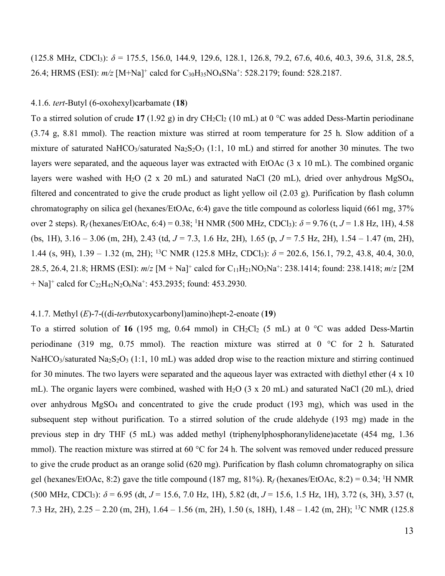(125.8 MHz, CDCl<sub>3</sub>):  $\delta$  = 175.5, 156.0, 144.9, 129.6, 128.1, 126.8, 79.2, 67.6, 40.6, 40.3, 39.6, 31.8, 28.5, 26.4; HRMS (ESI):  $m/z$  [M+Na]<sup>+</sup> calcd for C<sub>30</sub>H<sub>35</sub>NO<sub>4</sub>SNa<sup>+</sup>: 528.2179; found: 528.2187.

### 4.1.6. *tert*-Butyl (6-oxohexyl)carbamate (**18**)

To a stirred solution of crude 17 (1.92 g) in dry CH<sub>2</sub>Cl<sub>2</sub> (10 mL) at 0 °C was added Dess-Martin periodinane (3.74 g, 8.81 mmol). The reaction mixture was stirred at room temperature for 25 h. Slow addition of a mixture of saturated NaHCO<sub>3</sub>/saturated Na<sub>2</sub>S<sub>2</sub>O<sub>3</sub> (1:1, 10 mL) and stirred for another 30 minutes. The two layers were separated, and the aqueous layer was extracted with EtOAc (3 x 10 mL). The combined organic layers were washed with H<sub>2</sub>O (2 x 20 mL) and saturated NaCl (20 mL), dried over anhydrous MgSO<sub>4</sub>, filtered and concentrated to give the crude product as light yellow oil (2.03 g). Purification by flash column chromatography on silica gel (hexanes/EtOAc, 6:4) gave the title compound as colorless liquid (661 mg, 37% over 2 steps).  $R_f$ (hexanes/EtOAc, 6:4) = 0.38; <sup>1</sup>H NMR (500 MHz, CDCl<sub>3</sub>):  $\delta$  = 9.76 (t, *J* = 1.8 Hz, 1H), 4.58 (bs, 1H), 3.16 – 3.06 (m, 2H), 2.43 (td, *J* = 7.3, 1.6 Hz, 2H), 1.65 (p, *J* = 7.5 Hz, 2H), 1.54 – 1.47 (m, 2H), 1.44 (s, 9H), 1.39 – 1.32 (m, 2H); 13C NMR (125.8 MHz, CDCl3): *δ* = 202.6, 156.1, 79.2, 43.8, 40.4, 30.0, 28.5, 26.4, 21.8; HRMS (ESI): *m*/*z* [M + Na]+ calcd for C11H21NO3Na+: 238.1414; found: 238.1418; *m*/*z* [2M  $+$  Na]<sup>+</sup> calcd for C<sub>22</sub>H<sub>42</sub>N<sub>2</sub>O<sub>6</sub>Na<sup>+</sup>: 453.2935; found: 453.2930.

# 4.1.7. Methyl (*E*)-7-((di-*tert*butoxycarbonyl)amino)hept-2-enoate (**19**)

To a stirred solution of 16 (195 mg, 0.64 mmol) in CH<sub>2</sub>Cl<sub>2</sub> (5 mL) at 0 °C was added Dess-Martin periodinane (319 mg, 0.75 mmol). The reaction mixture was stirred at 0 °C for 2 h. Saturated NaHCO<sub>3</sub>/saturated Na<sub>2</sub>S<sub>2</sub>O<sub>3</sub> (1:1, 10 mL) was added drop wise to the reaction mixture and stirring continued for 30 minutes. The two layers were separated and the aqueous layer was extracted with diethyl ether (4 x 10 mL). The organic layers were combined, washed with H<sub>2</sub>O (3 x 20 mL) and saturated NaCl (20 mL), dried over anhydrous MgSO4 and concentrated to give the crude product (193 mg), which was used in the subsequent step without purification. To a stirred solution of the crude aldehyde (193 mg) made in the previous step in dry THF (5 mL) was added methyl (triphenylphosphoranylidene)acetate (454 mg, 1.36 mmol). The reaction mixture was stirred at 60 °C for 24 h. The solvent was removed under reduced pressure to give the crude product as an orange solid (620 mg). Purification by flash column chromatography on silica gel (hexanes/EtOAc, 8:2) gave the title compound (187 mg, 81%).  $R_f$  (hexanes/EtOAc, 8:2) = 0.34; <sup>1</sup>H NMR  $(500 \text{ MHz}, \text{CDCl}_3)$ :  $\delta = 6.95$  (dt,  $J = 15.6$ , 7.0 Hz, 1H), 5.82 (dt,  $J = 15.6$ , 1.5 Hz, 1H), 3.72 (s, 3H), 3.57 (t, 7.3 Hz, 2H), 2.25 – 2.20 (m, 2H), 1.64 – 1.56 (m, 2H), 1.50 (s, 18H), 1.48 – 1.42 (m, 2H); 13C NMR (125.8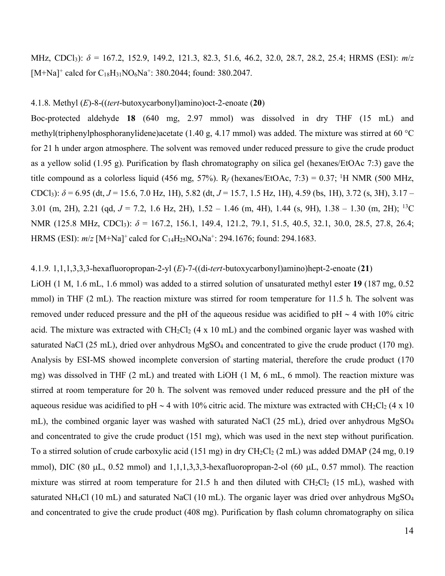MHz, CDCl3): *δ* = 167.2, 152.9, 149.2, 121.3, 82.3, 51.6, 46.2, 32.0, 28.7, 28.2, 25.4; HRMS (ESI): *m*/*z*  $[M+Na]^+$  calcd for  $C_{18}H_{31}NO_6Na^+$ : 380.2044; found: 380.2047.

#### 4.1.8. Methyl (*E*)-8-((*tert*-butoxycarbonyl)amino)oct-2-enoate (**20**)

Boc-protected aldehyde **18** (640 mg, 2.97 mmol) was dissolved in dry THF (15 mL) and methyl(triphenylphosphoranylidene)acetate (1.40 g, 4.17 mmol) was added. The mixture was stirred at 60 °C for 21 h under argon atmosphere. The solvent was removed under reduced pressure to give the crude product as a yellow solid (1.95 g). Purification by flash chromatography on silica gel (hexanes/EtOAc 7:3) gave the title compound as a colorless liquid (456 mg, 57%).  $R_f$  (hexanes/EtOAc, 7:3) = 0.37; <sup>1</sup>H NMR (500 MHz, CDCl3): *δ* = 6.95 (dt, *J* = 15.6, 7.0 Hz, 1H), 5.82 (dt, *J* = 15.7, 1.5 Hz, 1H), 4.59 (bs, 1H), 3.72 (s, 3H), 3.17 – 3.01 (m, 2H), 2.21 (qd, *J* = 7.2, 1.6 Hz, 2H), 1.52 – 1.46 (m, 4H), 1.44 (s, 9H), 1.38 – 1.30 (m, 2H); 13C NMR (125.8 MHz, CDCl<sub>3</sub>): δ = 167.2, 156.1, 149.4, 121.2, 79.1, 51.5, 40.5, 32.1, 30.0, 28.5, 27.8, 26.4; HRMS (ESI):  $m/z$  [M+Na]<sup>+</sup> calcd for C<sub>14</sub>H<sub>25</sub>NO<sub>4</sub>Na<sup>+</sup>: 294.1676; found: 294.1683.

# 4.1.9. 1,1,1,3,3,3-hexafluoropropan-2-yl (*E*)-7-((di-*tert*-butoxycarbonyl)amino)hept-2-enoate (**21**)

LiOH (1 M, 1.6 mL, 1.6 mmol) was added to a stirred solution of unsaturated methyl ester **19** (187 mg, 0.52 mmol) in THF (2 mL). The reaction mixture was stirred for room temperature for 11.5 h. The solvent was removed under reduced pressure and the pH of the aqueous residue was acidified to pH  $\sim$  4 with 10% citric acid. The mixture was extracted with  $CH_2Cl_2$  (4 x 10 mL) and the combined organic layer was washed with saturated NaCl (25 mL), dried over anhydrous  $MgSO_4$  and concentrated to give the crude product (170 mg). Analysis by ESI-MS showed incomplete conversion of starting material, therefore the crude product (170 mg) was dissolved in THF (2 mL) and treated with LiOH (1 M, 6 mL, 6 mmol). The reaction mixture was stirred at room temperature for 20 h. The solvent was removed under reduced pressure and the pH of the aqueous residue was acidified to pH  $\sim$  4 with 10% citric acid. The mixture was extracted with CH<sub>2</sub>Cl<sub>2</sub> (4 x 10) mL), the combined organic layer was washed with saturated NaCl (25 mL), dried over anhydrous MgSO4 and concentrated to give the crude product (151 mg), which was used in the next step without purification. To a stirred solution of crude carboxylic acid (151 mg) in dry  $CH_2Cl_2$  (2 mL) was added DMAP (24 mg, 0.19 mmol), DIC (80  $\mu$ L, 0.52 mmol) and 1,1,1,3,3,3-hexafluoropropan-2-ol (60  $\mu$ L, 0.57 mmol). The reaction mixture was stirred at room temperature for 21.5 h and then diluted with  $CH_2Cl_2$  (15 mL), washed with saturated NH<sub>4</sub>Cl (10 mL) and saturated NaCl (10 mL). The organic layer was dried over anhydrous MgSO<sub>4</sub> and concentrated to give the crude product (408 mg). Purification by flash column chromatography on silica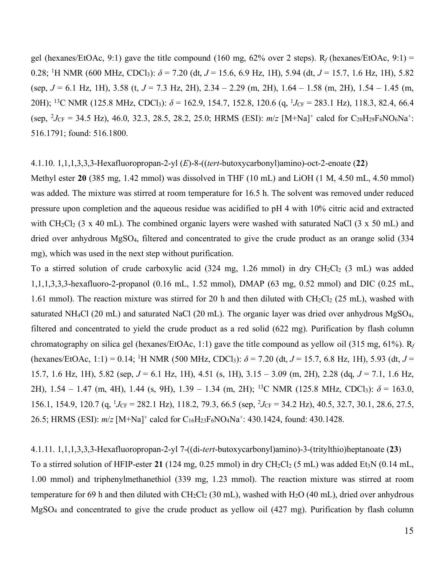gel (hexanes/EtOAc, 9:1) gave the title compound (160 mg, 62% over 2 steps). R*f* (hexanes/EtOAc, 9:1) = 0.28; <sup>1</sup>H NMR (600 MHz, CDCl<sub>3</sub>):  $\delta$  = 7.20 (dt, *J* = 15.6, 6.9 Hz, 1H), 5.94 (dt, *J* = 15.7, 1.6 Hz, 1H), 5.82 (sep, *J* = 6.1 Hz, 1H), 3.58 (t, *J* = 7.3 Hz, 2H), 2.34 – 2.29 (m, 2H), 1.64 – 1.58 (m, 2H), 1.54 – 1.45 (m, 20H); <sup>13</sup>C NMR (125.8 MHz, CDCl<sub>3</sub>):  $\delta$  = 162.9, 154.7, 152.8, 120.6 (q, <sup>1</sup>*J*<sub>CF</sub> = 283.1 Hz), 118.3, 82.4, 66.4  $(\text{sep}, \, \,^2 J_{\text{CF}} = 34.5 \, \text{Hz})$ , 46.0, 32.3, 28.5, 28.2, 25.0; HRMS (ESI):  $m/z$  [M+Na]<sup>+</sup> calcd for C<sub>20</sub>H<sub>29</sub>F<sub>6</sub>NO<sub>6</sub>Na<sup>+</sup>: 516.1791; found: 516.1800.

# 4.1.10. 1,1,1,3,3,3-Hexafluoropropan-2-yl (*E*)-8-((*tert*-butoxycarbonyl)amino)-oct-2-enoate (**22**)

Methyl ester 20 (385 mg, 1.42 mmol) was dissolved in THF (10 mL) and LiOH (1 M, 4.50 mL, 4.50 mmol) was added. The mixture was stirred at room temperature for 16.5 h. The solvent was removed under reduced pressure upon completion and the aqueous residue was acidified to pH 4 with 10% citric acid and extracted with  $CH_2Cl_2$  (3 x 40 mL). The combined organic layers were washed with saturated NaCl (3 x 50 mL) and dried over anhydrous MgSO4, filtered and concentrated to give the crude product as an orange solid (334 mg), which was used in the next step without purification.

To a stirred solution of crude carboxylic acid  $(324 \text{ mg}, 1.26 \text{ mmol})$  in dry  $\text{CH}_2\text{Cl}_2$   $(3 \text{ mL})$  was added 1,1,1,3,3,3-hexafluoro-2-propanol (0.16 mL, 1.52 mmol), DMAP (63 mg, 0.52 mmol) and DIC (0.25 mL, 1.61 mmol). The reaction mixture was stirred for 20 h and then diluted with  $CH_2Cl_2$  (25 mL), washed with saturated NH<sub>4</sub>Cl (20 mL) and saturated NaCl (20 mL). The organic layer was dried over anhydrous MgSO<sub>4</sub>, filtered and concentrated to yield the crude product as a red solid (622 mg). Purification by flash column chromatography on silica gel (hexanes/EtOAc, 1:1) gave the title compound as yellow oil (315 mg, 61%). R*<sup>f</sup>* (hexanes/EtOAc, 1:1) = 0.14; 1 H NMR (500 MHz, CDCl3): *δ* = 7.20 (dt, *J* = 15.7, 6.8 Hz, 1H), 5.93 (dt, *J* = 15.7, 1.6 Hz, 1H), 5.82 (sep, *J* = 6.1 Hz, 1H), 4.51 (s, 1H), 3.15 – 3.09 (m, 2H), 2.28 (dq, *J* = 7.1, 1.6 Hz, 2H), 1.54 – 1.47 (m, 4H), 1.44 (s, 9H), 1.39 – 1.34 (m, 2H); 13C NMR (125.8 MHz, CDCl3): *δ* = 163.0, 156.1, 154.9, 120.7 (q, <sup>1</sup>*J*<sub>CF</sub> = 282.1 Hz), 118.2, 79.3, 66.5 (sep, <sup>2</sup>*J*<sub>CF</sub> = 34.2 Hz), 40.5, 32.7, 30.1, 28.6, 27.5, 26.5; HRMS (ESI):  $m/z$  [M+Na]<sup>+</sup> calcd for C<sub>16</sub>H<sub>23</sub>F<sub>6</sub>NO<sub>4</sub>Na<sup>+</sup>: 430.1424, found: 430.1428.

4.1.11. 1,1,1,3,3,3-Hexafluoropropan-2-yl 7-((di-*tert*-butoxycarbonyl)amino)-3-(tritylthio)heptanoate (**23**) To a stirred solution of HFIP-ester 21 (124 mg,  $0.25$  mmol) in dry CH<sub>2</sub>Cl<sub>2</sub> (5 mL) was added Et<sub>3</sub>N (0.14 mL, 1.00 mmol) and triphenylmethanethiol (339 mg, 1.23 mmol). The reaction mixture was stirred at room temperature for 69 h and then diluted with  $CH_2Cl_2$  (30 mL), washed with  $H_2O$  (40 mL), dried over anhydrous MgSO4 and concentrated to give the crude product as yellow oil (427 mg). Purification by flash column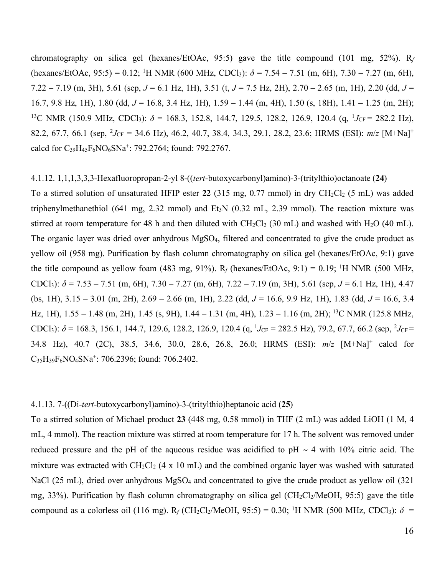chromatography on silica gel (hexanes/EtOAc, 95:5) gave the title compound (101 mg, 52%). R*<sup>f</sup>* (hexanes/EtOAc, 95:5) = 0.12; <sup>1</sup>H NMR (600 MHz, CDCl<sub>3</sub>):  $\delta$  = 7.54 – 7.51 (m, 6H), 7.30 – 7.27 (m, 6H), 7.22 – 7.19 (m, 3H), 5.61 (sep, *J* = 6.1 Hz, 1H), 3.51 (t, *J* = 7.5 Hz, 2H), 2.70 – 2.65 (m, 1H), 2.20 (dd, *J* = 16.7, 9.8 Hz, 1H), 1.80 (dd, *J* = 16.8, 3.4 Hz, 1H), 1.59 – 1.44 (m, 4H), 1.50 (s, 18H), 1.41 – 1.25 (m, 2H); <sup>13</sup>C NMR (150.9 MHz, CDCl<sub>3</sub>):  $\delta$  = 168.3, 152.8, 144.7, 129.5, 128.2, 126.9, 120.4 (q, <sup>1</sup>J<sub>CF</sub> = 282.2 Hz), 82.2, 67.7, 66.1 (sep,  ${}^{2}J_{CF}$  = 34.6 Hz), 46.2, 40.7, 38.4, 34.3, 29.1, 28.2, 23.6; HRMS (ESI):  $m/z$  [M+Na]<sup>+</sup> calcd for C39H45F6NO6SNa+: 792.2764; found: 792.2767.

#### 4.1.12. 1,1,1,3,3,3-Hexafluoropropan-2-yl 8-((*tert*-butoxycarbonyl)amino)-3-(tritylthio)octanoate (**24**)

To a stirred solution of unsaturated HFIP ester 22 (315 mg,  $0.77$  mmol) in dry CH<sub>2</sub>Cl<sub>2</sub> (5 mL) was added triphenylmethanethiol (641 mg, 2.32 mmol) and Et<sub>3</sub>N (0.32 mL, 2.39 mmol). The reaction mixture was stirred at room temperature for 48 h and then diluted with  $CH_2Cl_2$  (30 mL) and washed with  $H_2O$  (40 mL). The organic layer was dried over anhydrous MgSO<sub>4</sub>, filtered and concentrated to give the crude product as yellow oil (958 mg). Purification by flash column chromatography on silica gel (hexanes/EtOAc, 9:1) gave the title compound as yellow foam (483 mg, 91%).  $R_f$  (hexanes/EtOAc, 9:1) = 0.19; <sup>1</sup>H NMR (500 MHz, CDCl<sub>3</sub>):  $\delta$  = 7.53 – 7.51 (m, 6H), 7.30 – 7.27 (m, 6H), 7.22 – 7.19 (m, 3H), 5.61 (sep, *J* = 6.1 Hz, 1H), 4.47 (bs, 1H), 3.15 – 3.01 (m, 2H), 2.69 – 2.66 (m, 1H), 2.22 (dd, *J* = 16.6, 9.9 Hz, 1H), 1.83 (dd, *J* = 16.6, 3.4 Hz, 1H),  $1.55 - 1.48$  (m, 2H),  $1.45$  (s, 9H),  $1.44 - 1.31$  (m, 4H),  $1.23 - 1.16$  (m, 2H); <sup>13</sup>C NMR (125.8 MHz, CDCl<sub>3</sub>):  $\delta$  = 168.3, 156.1, 144.7, 129.6, 128.2, 126.9, 120.4 (q, <sup>1</sup>*J*<sub>CF</sub> = 282.5 Hz), 79.2, 67.7, 66.2 (sep, <sup>2</sup>*J*<sub>CF</sub> = 34.8 Hz), 40.7 (2C), 38.5, 34.6, 30.0, 28.6, 26.8, 26.0; HRMS (ESI): *m*/*z* [M+Na]+ calcd for C35H39F6NO4SNa+: 706.2396; found: 706.2402.

# 4.1.13. 7-((Di-*tert*-butoxycarbonyl)amino)-3-(tritylthio)heptanoic acid (**25**)

To a stirred solution of Michael product **23** (448 mg, 0.58 mmol) in THF (2 mL) was added LiOH (1 M, 4 mL, 4 mmol). The reaction mixture was stirred at room temperature for 17 h. The solvent was removed under reduced pressure and the pH of the aqueous residue was acidified to pH  $\sim$  4 with 10% citric acid. The mixture was extracted with  $CH_2Cl_2$  (4 x 10 mL) and the combined organic layer was washed with saturated NaCl (25 mL), dried over anhydrous MgSO<sub>4</sub> and concentrated to give the crude product as yellow oil (321) mg, 33%). Purification by flash column chromatography on silica gel (CH<sub>2</sub>Cl<sub>2</sub>/MeOH, 95:5) gave the title compound as a colorless oil (116 mg).  $R_f$  (CH<sub>2</sub>Cl<sub>2</sub>/MeOH, 95:5) = 0.30; <sup>1</sup>H NMR (500 MHz, CDCl<sub>3</sub>):  $\delta$  =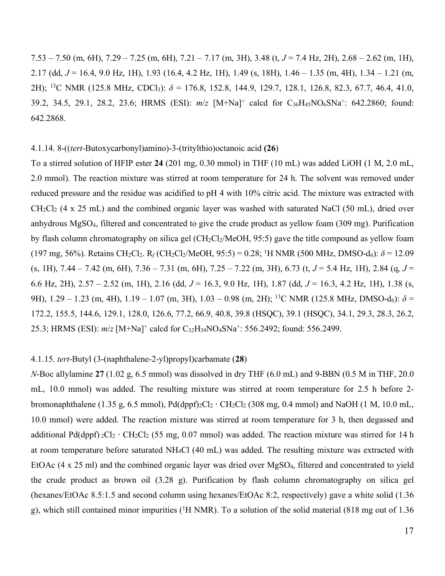7.53 – 7.50 (m, 6H), 7.29 – 7.25 (m, 6H), 7.21 – 7.17 (m, 3H), 3.48 (t, *J* = 7.4 Hz, 2H), 2.68 – 2.62 (m, 1H), 2.17 (dd, *J* = 16.4, 9.0 Hz, 1H), 1.93 (16.4, 4.2 Hz, 1H), 1.49 (s, 18H), 1.46 – 1.35 (m, 4H), 1.34 – 1.21 (m, 2H); 13C NMR (125.8 MHz, CDCl3): *δ* = 176.8, 152.8, 144.9, 129.7, 128.1, 126.8, 82.3, 67.7, 46.4, 41.0, 39.2, 34.5, 29.1, 28.2, 23.6; HRMS (ESI): *m*/*z* [M+Na]+ calcd for C36H45NO6SNa+: 642.2860; found: 642.2868.

# 4.1.14. 8-((*tert*-Butoxycarbonyl)amino)-3-(tritylthio)octanoic acid **(26**)

To a stirred solution of HFIP ester **24** (201 mg, 0.30 mmol) in THF (10 mL) was added LiOH (1 M, 2.0 mL, 2.0 mmol). The reaction mixture was stirred at room temperature for 24 h. The solvent was removed under reduced pressure and the residue was acidified to pH 4 with 10% citric acid. The mixture was extracted with  $CH_2Cl_2$  (4 x 25 mL) and the combined organic layer was washed with saturated NaCl (50 mL), dried over anhydrous MgSO4, filtered and concentrated to give the crude product as yellow foam (309 mg). Purification by flash column chromatography on silica gel ( $CH_2Cl_2/MeOH$ , 95:5) gave the title compound as yellow foam (197 mg, 56%). Retains CH<sub>2</sub>Cl<sub>2</sub>. R<sub>f</sub> (CH<sub>2</sub>Cl<sub>2</sub>/MeOH, 95:5) = 0.28; <sup>1</sup>H NMR (500 MHz, DMSO-d<sub>6</sub>):  $\delta$  = 12.09 (s, 1H), 7.44 – 7.42 (m, 6H), 7.36 – 7.31 (m, 6H), 7.25 – 7.22 (m, 3H), 6.73 (t, *J* = 5.4 Hz, 1H), 2.84 (q, *J* = 6.6 Hz, 2H), 2.57 – 2.52 (m, 1H), 2.16 (dd, *J* = 16.3, 9.0 Hz, 1H), 1.87 (dd, *J* = 16.3, 4.2 Hz, 1H), 1.38 (s, 9H), 1.29 – 1.23 (m, 4H), 1.19 – 1.07 (m, 3H), 1.03 – 0.98 (m, 2H); <sup>13</sup>C NMR (125.8 MHz, DMSO-d<sub>6</sub>): δ = 172.2, 155.5, 144.6, 129.1, 128.0, 126.6, 77.2, 66.9, 40.8, 39.8 (HSQC), 39.1 (HSQC), 34.1, 29.3, 28.3, 26.2, 25.3; HRMS (ESI): *m*/*z* [M+Na]+ calcd for C32H39NO4SNa+: 556.2492; found: 556.2499.

### 4.1.15. *tert*-Butyl (3-(naphthalene-2-yl)propyl)carbamate (**28**)

*N*-Boc allylamine **27** (1.02 g, 6.5 mmol) was dissolved in dry THF (6.0 mL) and 9-BBN (0.5 M in THF, 20.0 mL, 10.0 mmol) was added. The resulting mixture was stirred at room temperature for 2.5 h before 2 bromonaphthalene (1.35 g, 6.5 mmol),  $Pd(dppf)_{2}Cl_{2} \cdot CH_{2}Cl_{2}$  (308 mg, 0.4 mmol) and NaOH (1 M, 10.0 mL, 10.0 mmol) were added. The reaction mixture was stirred at room temperature for 3 h, then degassed and additional Pd(dppf)  $_2$ Cl<sub>2</sub>  $\cdot$  CH<sub>2</sub>Cl<sub>2</sub> (55 mg, 0.07 mmol) was added. The reaction mixture was stirred for 14 h at room temperature before saturated NH4Cl (40 mL) was added. The resulting mixture was extracted with EtOAc (4 x 25 ml) and the combined organic layer was dried over MgSO<sub>4</sub>, filtered and concentrated to yield the crude product as brown oil (3.28 g). Purification by flash column chromatography on silica gel (hexanes/EtOAc 8.5:1.5 and second column using hexanes/EtOAc 8:2, respectively) gave a white solid (1.36 g), which still contained minor impurities (<sup>1</sup>H NMR). To a solution of the solid material (818 mg out of 1.36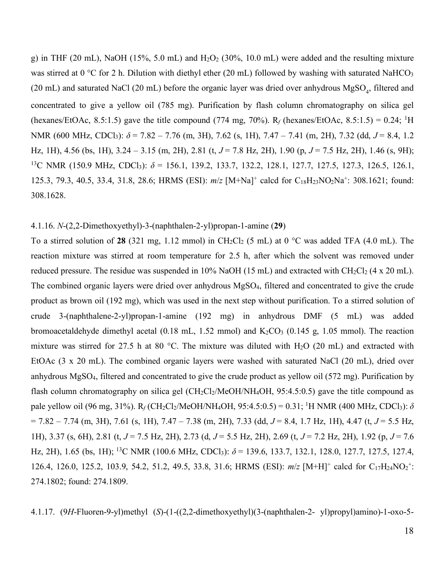g) in THF (20 mL), NaOH (15%, 5.0 mL) and  $H_2O_2$  (30%, 10.0 mL) were added and the resulting mixture was stirred at  $0^{\circ}$ C for 2 h. Dilution with diethyl ether (20 mL) followed by washing with saturated NaHCO<sub>3</sub> (20 mL) and saturated NaCl (20 mL) before the organic layer was dried over anhydrous  $MgSO_4$ , filtered and concentrated to give a yellow oil (785 mg). Purification by flash column chromatography on silica gel (hexanes/EtOAc, 8.5:1.5) gave the title compound (774 mg, 70%).  $R_f$  (hexanes/EtOAc, 8.5:1.5) = 0.24; <sup>1</sup>H NMR (600 MHz, CDCl<sub>3</sub>): *δ* = 7.82 – 7.76 (m, 3H), 7.62 (s, 1H), 7.47 – 7.41 (m, 2H), 7.32 (dd, *J* = 8.4, 1.2 Hz, 1H), 4.56 (bs, 1H), 3.24 – 3.15 (m, 2H), 2.81 (t, *J* = 7.8 Hz, 2H), 1.90 (p, *J* = 7.5 Hz, 2H), 1.46 (s, 9H); 13C NMR (150.9 MHz, CDCl3): *δ* = 156.1, 139.2, 133.7, 132.2, 128.1, 127.7, 127.5, 127.3, 126.5, 126.1, 125.3, 79.3, 40.5, 33.4, 31.8, 28.6; HRMS (ESI): *m*/*z* [M+Na]+ calcd for C18H23NO2Na+: 308.1621; found: 308.1628.

# 4.1.16. *N*-(2,2-Dimethoxyethyl)-3-(naphthalen-2-yl)propan-1-amine (**29**)

To a stirred solution of 28 (321 mg, 1.12 mmol) in CH<sub>2</sub>Cl<sub>2</sub> (5 mL) at 0 °C was added TFA (4.0 mL). The reaction mixture was stirred at room temperature for 2.5 h, after which the solvent was removed under reduced pressure. The residue was suspended in 10% NaOH (15 mL) and extracted with  $CH_2Cl_2$  (4 x 20 mL). The combined organic layers were dried over anhydrous MgSO4, filtered and concentrated to give the crude product as brown oil (192 mg), which was used in the next step without purification. To a stirred solution of crude 3-(naphthalene-2-yl)propan-1-amine (192 mg) in anhydrous DMF (5 mL) was added bromoacetaldehyde dimethyl acetal (0.18 mL, 1.52 mmol) and  $K_2CO_3$  (0.145 g, 1.05 mmol). The reaction mixture was stirred for 27.5 h at 80 °C. The mixture was diluted with H<sub>2</sub>O (20 mL) and extracted with EtOAc (3 x 20 mL). The combined organic layers were washed with saturated NaCl (20 mL), dried over anhydrous MgSO4, filtered and concentrated to give the crude product as yellow oil (572 mg). Purification by flash column chromatography on silica gel  $\left(\frac{CH_2Cl_2}{MeOH/NH_4OH}, 95:4.5:0.5\right)$  gave the title compound as pale yellow oil (96 mg, 31%).  $R_f$ (CH<sub>2</sub>Cl<sub>2</sub>/MeOH/NH<sub>4</sub>OH, 95:4.5:0.5) = 0.31; <sup>1</sup>H NMR (400 MHz, CDCl<sub>3</sub>):  $\delta$ = 7.82 – 7.74 (m, 3H), 7.61 (s, 1H), 7.47 – 7.38 (m, 2H), 7.33 (dd, *J* = 8.4, 1.7 Hz, 1H), 4.47 (t, *J* = 5.5 Hz, 1H), 3.37 (s, 6H), 2.81 (t, *J* = 7.5 Hz, 2H), 2.73 (d, *J* = 5.5 Hz, 2H), 2.69 (t, *J* = 7.2 Hz, 2H), 1.92 (p, *J* = 7.6 Hz, 2H), 1.65 (bs, 1H); 13C NMR (100.6 MHz, CDCl3): *δ* = 139.6, 133.7, 132.1, 128.0, 127.7, 127.5, 127.4, 126.4, 126.0, 125.2, 103.9, 54.2, 51.2, 49.5, 33.8, 31.6; HRMS (ESI):  $m/z$  [M+H]<sup>+</sup> calcd for C<sub>17</sub>H<sub>24</sub>NO<sub>2</sub><sup>+</sup>: 274.1802; found: 274.1809.

4.1.17. (9*H*-Fluoren-9-yl)methyl (*S*)-(1-((2,2-dimethoxyethyl)(3-(naphthalen-2- yl)propyl)amino)-1-oxo-5-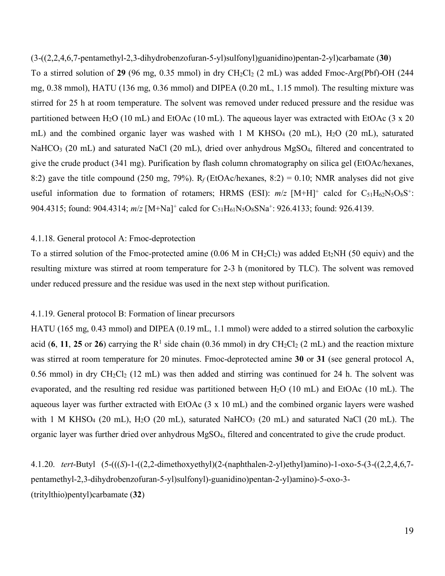(3-((2,2,4,6,7-pentamethyl-2,3-dihydrobenzofuran-5-yl)sulfonyl)guanidino)pentan-2-yl)carbamate (**30**) To a stirred solution of  $29$  (96 mg, 0.35 mmol) in dry CH<sub>2</sub>Cl<sub>2</sub> (2 mL) was added Fmoc-Arg(Pbf)-OH (244 mg, 0.38 mmol), HATU (136 mg, 0.36 mmol) and DIPEA (0.20 mL, 1.15 mmol). The resulting mixture was stirred for 25 h at room temperature. The solvent was removed under reduced pressure and the residue was partitioned between H<sub>2</sub>O (10 mL) and EtOAc (10 mL). The aqueous layer was extracted with EtOAc (3 x 20 mL) and the combined organic layer was washed with 1 M KHSO<sub>4</sub> (20 mL), H<sub>2</sub>O (20 mL), saturated NaHCO<sub>3</sub> (20 mL) and saturated NaCl (20 mL), dried over anhydrous MgSO<sub>4</sub>, filtered and concentrated to give the crude product (341 mg). Purification by flash column chromatography on silica gel (EtOAc/hexanes, 8:2) gave the title compound (250 mg, 79%).  $R_f$  (EtOAc/hexanes, 8:2) = 0.10; NMR analyses did not give useful information due to formation of rotamers; HRMS (ESI):  $m/z$  [M+H]<sup>+</sup> calcd for  $C_{51}H_{62}N_5O_8S^+$ : 904.4315; found: 904.4314;  $m/z$  [M+Na]<sup>+</sup> calcd for C<sub>51</sub>H<sub>61</sub>N<sub>5</sub>O<sub>8</sub>SNa<sup>+</sup>: 926.4133; found: 926.4139.

# 4.1.18. General protocol A: Fmoc-deprotection

To a stirred solution of the Fmoc-protected amine  $(0.06 \text{ M} \text{ in } CH_2Cl_2)$  was added Et<sub>2</sub>NH (50 equiv) and the resulting mixture was stirred at room temperature for 2-3 h (monitored by TLC). The solvent was removed under reduced pressure and the residue was used in the next step without purification.

# 4.1.19. General protocol B: Formation of linear precursors

HATU (165 mg, 0.43 mmol) and DIPEA (0.19 mL, 1.1 mmol) were added to a stirred solution the carboxylic acid (6, 11, 25 or 26) carrying the  $R^1$  side chain (0.36 mmol) in dry CH<sub>2</sub>Cl<sub>2</sub> (2 mL) and the reaction mixture was stirred at room temperature for 20 minutes. Fmoc-deprotected amine **30** or **31** (see general protocol A, 0.56 mmol) in dry  $CH_2Cl_2$  (12 mL) was then added and stirring was continued for 24 h. The solvent was evaporated, and the resulting red residue was partitioned between H2O (10 mL) and EtOAc (10 mL). The aqueous layer was further extracted with EtOAc (3 x 10 mL) and the combined organic layers were washed with 1 M KHSO<sub>4</sub> (20 mL), H<sub>2</sub>O (20 mL), saturated NaHCO<sub>3</sub> (20 mL) and saturated NaCl (20 mL). The organic layer was further dried over anhydrous MgSO4, filtered and concentrated to give the crude product.

4.1.20. *tert*-Butyl (5-(((*S*)-1-((2,2-dimethoxyethyl)(2-(naphthalen-2-yl)ethyl)amino)-1-oxo-5-(3-((2,2,4,6,7 pentamethyl-2,3-dihydrobenzofuran-5-yl)sulfonyl)-guanidino)pentan-2-yl)amino)-5-oxo-3- (tritylthio)pentyl)carbamate (**32**)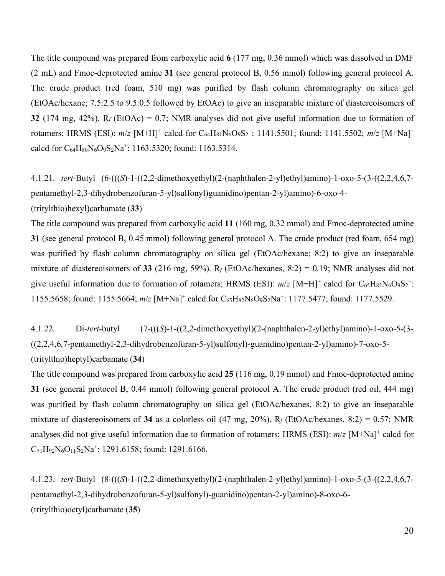The title compound was prepared from carboxylic acid **6** (177 mg, 0.36 mmol) which was dissolved in DMF (2 mL) and Fmoc-deprotected amine **31** (see general protocol B, 0.56 mmol) following general protocol A. The crude product (red foam, 510 mg) was purified by flash column chromatography on silica gel (EtOAc/hexane; 7.5:2.5 to 9.5:0.5 followed by EtOAc) to give an inseparable mixture of diastereoisomers of **32** (174 mg, 42%). R*<sup>f</sup>* (EtOAc) = 0.7; NMR analyses did not give useful information due to formation of rotamers; HRMS (ESI):  $m/z$  [M+H]<sup>+</sup> calcd for C<sub>64</sub>H<sub>81</sub>N<sub>6</sub>O<sub>9</sub>S<sub>2</sub><sup>+</sup>: 1141.5501; found: 1141.5502;  $m/z$  [M+Na]<sup>+</sup> calcd for  $C_{64}H_{80}N_6O_9S_2Na^+$ : 1163.5320; found: 1163.5314.

4.1.21. *tert*-Butyl (6-(((*S*)-1-((2,2-dimethoxyethyl)(2-(naphthalen-2-yl)ethyl)amino)-1-oxo-5-(3-((2,2,4,6,7 pentamethyl-2,3-dihydrobenzofuran-5-yl)sulfonyl)guanidino)pentan-2-yl)amino)-6-oxo-4- (tritylthio)hexyl)carbamate (**33**)

The title compound was prepared from carboxylic acid **11** (160 mg, 0.32 mmol) and Fmoc-deprotected amine **31** (see general protocol B, 0.45 mmol) following general protocol A. The crude product (red foam, 654 mg) was purified by flash column chromatography on silica gel (EtOAc/hexane; 8:2) to give an inseparable mixture of diastereoisomers of **33** (216 mg, 59%). R*<sup>f</sup>* (EtOAc/hexanes, 8:2) = 0.19; NMR analyses did not give useful information due to formation of rotamers; HRMS (ESI):  $m/z$  [M+H]<sup>+</sup> calcd for  $C_{65}H_{83}N_6O_9S_2$ <sup>+</sup>: 1155.5658; found: 1155.5664;  $m/z$  [M+Na]<sup>+</sup> calcd for C<sub>65</sub>H<sub>82</sub>N<sub>6</sub>O<sub>9</sub>S<sub>2</sub>Na<sup>+</sup>: 1177.5477; found: 1177.5529.

4.1.22. Di*-tert*-butyl (7-(((*S*)-1-((2,2-dimethoxyethyl)(2-(naphthalen-2-yl)ethyl)amino)-1-oxo-5-(3- ((2,2,4,6,7-pentamethyl-2,3-dihydrobenzofuran-5-yl)sulfonyl)-guanidino)pentan-2-yl)amino)-7-oxo-5- (tritylthio)heptyl)carbamate (**34**)

The title compound was prepared from carboxylic acid **25** (116 mg, 0.19 mmol) and Fmoc-deprotected amine **31** (see general protocol B, 0.44 mmol) following general protocol A. The crude product (red oil, 444 mg) was purified by flash column chromatography on silica gel (EtOAc/hexanes, 8:2) to give an inseparable mixture of diastereoisomers of **34** as a colorless oil (47 mg, 20%). R*<sup>f</sup>* (EtOAc/hexanes, 8:2) = 0.57; NMR analyses did not give useful information due to formation of rotamers; HRMS (ESI): *m*/*z* [M+Na]+ calcd for  $C_{71}H_{92}N_6O_{11}S_2Na^+$ : 1291.6158; found: 1291.6166.

4.1.23. *tert*-Butyl (8-(((*S*)-1-((2,2-dimethoxyethyl)(2-(naphthalen-2-yl)ethyl)amino)-1-oxo-5-(3-((2,2,4,6,7 pentamethyl-2,3-dihydrobenzofuran-5-yl)sulfonyl)-guanidino)pentan-2-yl)amino)-8-oxo-6- (tritylthio)octyl)carbamate (**35**)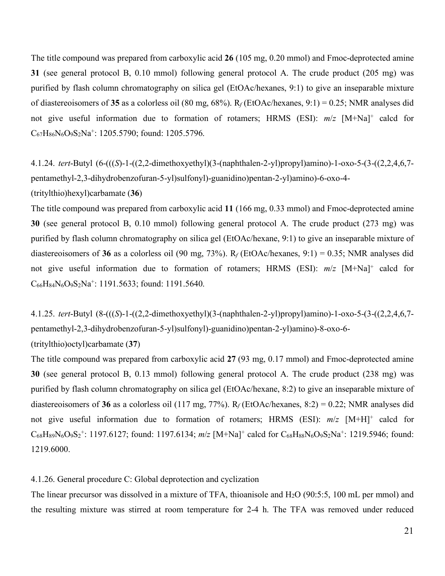The title compound was prepared from carboxylic acid **26** (105 mg, 0.20 mmol) and Fmoc-deprotected amine **31** (see general protocol B, 0.10 mmol) following general protocol A. The crude product (205 mg) was purified by flash column chromatography on silica gel (EtOAc/hexanes, 9:1) to give an inseparable mixture of diastereoisomers of **35** as a colorless oil (80 mg, 68%). R*<sup>f</sup>* (EtOAc/hexanes, 9:1) = 0.25; NMR analyses did not give useful information due to formation of rotamers; HRMS (ESI):  $m/z$  [M+Na]<sup>+</sup> calcd for C67H86N6O9S2Na+: 1205.5790; found: 1205.5796.

4.1.24. *tert*-Butyl (6-(((*S*)-1-((2,2-dimethoxyethyl)(3-(naphthalen-2-yl)propyl)amino)-1-oxo-5-(3-((2,2,4,6,7 pentamethyl-2,3-dihydrobenzofuran-5-yl)sulfonyl)-guanidino)pentan-2-yl)amino)-6-oxo-4- (tritylthio)hexyl)carbamate (**36**)

The title compound was prepared from carboxylic acid **11** (166 mg, 0.33 mmol) and Fmoc-deprotected amine **30** (see general protocol B, 0.10 mmol) following general protocol A. The crude product (273 mg) was purified by flash column chromatography on silica gel (EtOAc/hexane, 9:1) to give an inseparable mixture of diastereoisomers of **36** as a colorless oil (90 mg, 73%). R*<sup>f</sup>* (EtOAc/hexanes, 9:1) = 0.35; NMR analyses did not give useful information due to formation of rotamers; HRMS (ESI):  $m/z$  [M+Na]<sup>+</sup> calcd for  $C_{66}H_{84}N_6O_9S_2Na^+$ : 1191.5633; found: 1191.5640.

4.1.25. *tert*-Butyl (8-(((*S*)-1-((2,2-dimethoxyethyl)(3-(naphthalen-2-yl)propyl)amino)-1-oxo-5-(3-((2,2,4,6,7 pentamethyl-2,3-dihydrobenzofuran-5-yl)sulfonyl)-guanidino)pentan-2-yl)amino)-8-oxo-6- (tritylthio)octyl)carbamate (**37**)

The title compound was prepared from carboxylic acid **27** (93 mg, 0.17 mmol) and Fmoc-deprotected amine **30** (see general protocol B, 0.13 mmol) following general protocol A. The crude product (238 mg) was purified by flash column chromatography on silica gel (EtOAc/hexane, 8:2) to give an inseparable mixture of diastereoisomers of **36** as a colorless oil (117 mg, 77%). R*<sup>f</sup>* (EtOAc/hexanes, 8:2) = 0.22; NMR analyses did not give useful information due to formation of rotamers; HRMS (ESI):  $m/z$  [M+H]<sup>+</sup> calcd for C<sub>68</sub>H<sub>89</sub>N<sub>6</sub>O<sub>9</sub>S<sub>2</sub><sup>+</sup>: 1197.6127; found: 1197.6134; *m*/*z* [M+Na]<sup>+</sup> calcd for C<sub>68</sub>H<sub>88</sub>N<sub>6</sub>O<sub>9</sub>S<sub>2</sub>Na<sup>+</sup>: 1219.5946; found: 1219.6000.

# 4.1.26. General procedure C: Global deprotection and cyclization

The linear precursor was dissolved in a mixture of TFA, thioanisole and H2O (90:5:5, 100 mL per mmol) and the resulting mixture was stirred at room temperature for 2-4 h. The TFA was removed under reduced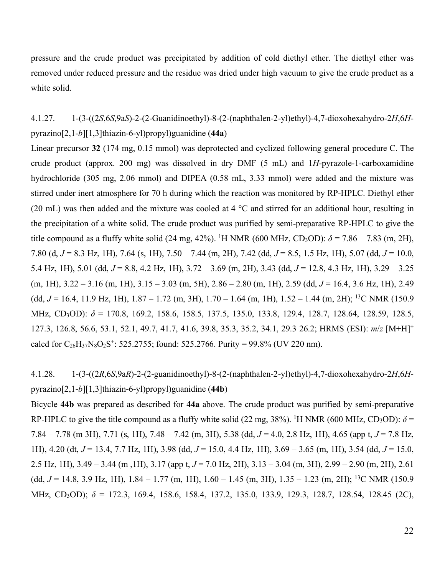pressure and the crude product was precipitated by addition of cold diethyl ether. The diethyl ether was removed under reduced pressure and the residue was dried under high vacuum to give the crude product as a white solid.

4.1.27. 1-(3-((2*S*,6*S*,9a*S*)-2-(2-Guanidinoethyl)-8-(2-(naphthalen-2-yl)ethyl)-4,7-dioxohexahydro-2*H*,6*H*pyrazino[2,1-*b*][1,3]thiazin-6-yl)propyl)guanidine (**44a**)

Linear precursor **32** (174 mg, 0.15 mmol) was deprotected and cyclized following general procedure C. The crude product (approx. 200 mg) was dissolved in dry DMF (5 mL) and 1*H*-pyrazole-1-carboxamidine hydrochloride (305 mg, 2.06 mmol) and DIPEA (0.58 mL, 3.33 mmol) were added and the mixture was stirred under inert atmosphere for 70 h during which the reaction was monitored by RP-HPLC. Diethyl ether (20 mL) was then added and the mixture was cooled at 4 °C and stirred for an additional hour, resulting in the precipitation of a white solid. The crude product was purified by semi-preparative RP-HPLC to give the title compound as a fluffy white solid (24 mg, 42%). <sup>1</sup>H NMR (600 MHz, CD<sub>3</sub>OD):  $\delta$  = 7.86 – 7.83 (m, 2H), 7.80 (d, *J* = 8.3 Hz, 1H), 7.64 (s, 1H), 7.50 – 7.44 (m, 2H), 7.42 (dd, *J* = 8.5, 1.5 Hz, 1H), 5.07 (dd, *J* = 10.0, 5.4 Hz, 1H), 5.01 (dd, *J* = 8.8, 4.2 Hz, 1H), 3.72 – 3.69 (m, 2H), 3.43 (dd, *J* = 12.8, 4.3 Hz, 1H), 3.29 – 3.25 (m, 1H), 3.22 – 3.16 (m, 1H), 3.15 – 3.03 (m, 5H), 2.86 – 2.80 (m, 1H), 2.59 (dd, *J* = 16.4, 3.6 Hz, 1H), 2.49 (dd,  $J = 16.4$ , 11.9 Hz, 1H), 1.87 – 1.72 (m, 3H), 1.70 – 1.64 (m, 1H), 1.52 – 1.44 (m, 2H); <sup>13</sup>C NMR (150.9 MHz, CD3OD): *δ* = 170.8, 169.2, 158.6, 158.5, 137.5, 135.0, 133.8, 129.4, 128.7, 128.64, 128.59, 128.5, 127.3, 126.8, 56.6, 53.1, 52.1, 49.7, 41.7, 41.6, 39.8, 35.3, 35.2, 34.1, 29.3 26.2; HRMS (ESI): *m*/*z* [M+H]+ calcd for  $C_{26}H_{37}N_8O_2S^+$ : 525.2755; found: 525.2766. Purity = 99.8% (UV 220 nm).

4.1.28. 1-(3-((2*R*,6*S*,9a*R*)-2-(2-guanidinoethyl)-8-(2-(naphthalen-2-yl)ethyl)-4,7-dioxohexahydro-2*H*,6*H*pyrazino[2,1-*b*][1,3]thiazin-6-yl)propyl)guanidine (**44b**)

Bicycle **44b** was prepared as described for **44a** above. The crude product was purified by semi-preparative RP-HPLC to give the title compound as a fluffy white solid (22 mg, 38%). <sup>1</sup>H NMR (600 MHz, CD<sub>3</sub>OD):  $\delta$  = 7.84 – 7.78 (m 3H), 7.71 (s, 1H), 7.48 – 7.42 (m, 3H), 5.38 (dd, *J* = 4.0, 2.8 Hz, 1H), 4.65 (app t, *J* = 7.8 Hz, 1H), 4.20 (dt, *J* = 13.4, 7.7 Hz, 1H), 3.98 (dd, *J* = 15.0, 4.4 Hz, 1H), 3.69 – 3.65 (m, 1H), 3.54 (dd, *J* = 15.0, 2.5 Hz, 1H), 3.49 – 3.44 (m ,1H), 3.17 (app t, *J* = 7.0 Hz, 2H), 3.13 – 3.04 (m, 3H), 2.99 – 2.90 (m, 2H), 2.61 (dd, *J* = 14.8, 3.9 Hz, 1H), 1.84 – 1.77 (m, 1H), 1.60 – 1.45 (m, 3H), 1.35 – 1.23 (m, 2H); 13C NMR (150.9 MHz, CD3OD); *δ* = 172.3, 169.4, 158.6, 158.4, 137.2, 135.0, 133.9, 129.3, 128.7, 128.54, 128.45 (2C),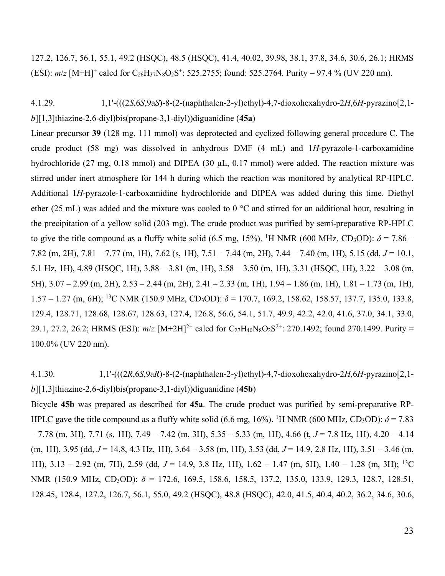127.2, 126.7, 56.1, 55.1, 49.2 (HSQC), 48.5 (HSQC), 41.4, 40.02, 39.98, 38.1, 37.8, 34.6, 30.6, 26.1; HRMS (ESI):  $m/z$  [M+H]<sup>+</sup> calcd for C<sub>26</sub>H<sub>37</sub>N<sub>8</sub>O<sub>2</sub>S<sup>+</sup>: 525.2755; found: 525.2764. Purity = 97.4 % (UV 220 nm).

4.1.29. 1,1'-(((2*S*,6*S*,9a*S*)-8-(2-(naphthalen-2-yl)ethyl)-4,7-dioxohexahydro-2*H*,6*H*-pyrazino[2,1 *b*][1,3]thiazine-2,6-diyl)bis(propane-3,1-diyl))diguanidine (**45a**)

Linear precursor **39** (128 mg, 111 mmol) was deprotected and cyclized following general procedure C. The crude product (58 mg) was dissolved in anhydrous DMF (4 mL) and 1*H*-pyrazole-1-carboxamidine hydrochloride (27 mg, 0.18 mmol) and DIPEA (30 µL, 0.17 mmol) were added. The reaction mixture was stirred under inert atmosphere for 144 h during which the reaction was monitored by analytical RP-HPLC. Additional 1*H*-pyrazole-1-carboxamidine hydrochloride and DIPEA was added during this time. Diethyl ether (25 mL) was added and the mixture was cooled to 0 °C and stirred for an additional hour, resulting in the precipitation of a yellow solid (203 mg). The crude product was purified by semi-preparative RP-HPLC to give the title compound as a fluffy white solid (6.5 mg, 15%). <sup>1</sup>H NMR (600 MHz, CD<sub>3</sub>OD):  $\delta$  = 7.86 – 7.82 (m, 2H), 7.81 – 7.77 (m, 1H), 7.62 (s, 1H), 7.51 – 7.44 (m, 2H), 7.44 – 7.40 (m, 1H), 5.15 (dd, *J* = 10.1, 5.1 Hz, 1H), 4.89 (HSQC, 1H), 3.88 – 3.81 (m, 1H), 3.58 – 3.50 (m, 1H), 3.31 (HSQC, 1H), 3.22 – 3.08 (m, 5H), 3.07 – 2.99 (m, 2H), 2.53 – 2.44 (m, 2H), 2.41 – 2.33 (m, 1H), 1.94 – 1.86 (m, 1H), 1.81 – 1.73 (m, 1H), 1.57 – 1.27 (m, 6H); 13C NMR (150.9 MHz, CD3OD): *δ* = 170.7, 169.2, 158.62, 158.57, 137.7, 135.0, 133.8, 129.4, 128.71, 128.68, 128.67, 128.63, 127.4, 126.8, 56.6, 54.1, 51.7, 49.9, 42.2, 42.0, 41.6, 37.0, 34.1, 33.0, 29.1, 27.2, 26.2; HRMS (ESI):  $m/z$  [M+2H]<sup>2+</sup> calcd for C<sub>27</sub>H<sub>40</sub>N<sub>8</sub>O<sub>2</sub>S<sup>2+</sup>: 270.1492; found 270.1499. Purity = 100.0% (UV 220 nm).

4.1.30. 1,1'-(((2*R*,6*S*,9a*R*)-8-(2-(naphthalen-2-yl)ethyl)-4,7-dioxohexahydro-2*H*,6*H*-pyrazino[2,1 *b*][1,3]thiazine-2,6-diyl)bis(propane-3,1-diyl))diguanidine (**45b**)

Bicycle **45b** was prepared as described for **45a**. The crude product was purified by semi-preparative RP-HPLC gave the title compound as a fluffy white solid (6.6 mg, 16%). <sup>1</sup>H NMR (600 MHz, CD<sub>3</sub>OD):  $\delta$  = 7.83 – 7.78 (m, 3H), 7.71 (s, 1H), 7.49 – 7.42 (m, 3H), 5.35 – 5.33 (m, 1H), 4.66 (t, *J* = 7.8 Hz, 1H), 4.20 – 4.14 (m, 1H), 3.95 (dd, *J* = 14.8, 4.3 Hz, 1H), 3.64 – 3.58 (m, 1H), 3.53 (dd, *J* = 14.9, 2.8 Hz, 1H), 3.51 – 3.46 (m, 1H), 3.13 – 2.92 (m, 7H), 2.59 (dd, *J* = 14.9, 3.8 Hz, 1H), 1.62 – 1.47 (m, 5H), 1.40 – 1.28 (m, 3H); 13C NMR (150.9 MHz, CD<sub>3</sub>OD): δ = 172.6, 169.5, 158.6, 158.5, 137.2, 135.0, 133.9, 129.3, 128.7, 128.51, 128.45, 128.4, 127.2, 126.7, 56.1, 55.0, 49.2 (HSQC), 48.8 (HSQC), 42.0, 41.5, 40.4, 40.2, 36.2, 34.6, 30.6,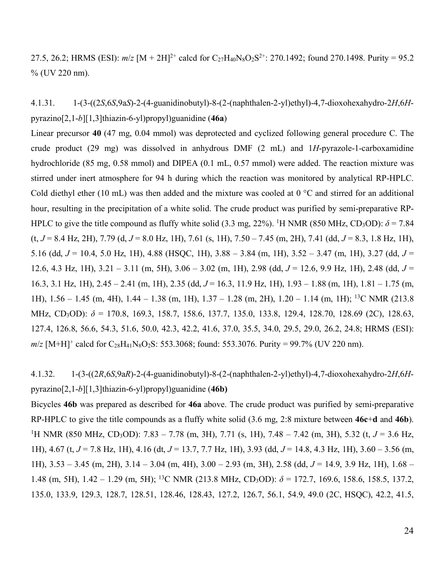27.5, 26.2; HRMS (ESI):  $m/z$  [M + 2H]<sup>2+</sup> calcd for C<sub>27</sub>H<sub>40</sub>N<sub>8</sub>O<sub>2</sub>S<sup>2+</sup>: 270.1492; found 270.1498. Purity = 95.2 % (UV 220 nm).

4.1.31. 1-(3-((2*S*,6*S*,9a*S*)-2-(4-guanidinobutyl)-8-(2-(naphthalen-2-yl)ethyl)-4,7-dioxohexahydro-2*H*,6*H*pyrazino[2,1-*b*][1,3]thiazin-6-yl)propyl)guanidine (**46a**)

Linear precursor **40** (47 mg, 0.04 mmol) was deprotected and cyclized following general procedure C. The crude product (29 mg) was dissolved in anhydrous DMF (2 mL) and 1*H*-pyrazole-1-carboxamidine hydrochloride (85 mg, 0.58 mmol) and DIPEA (0.1 mL, 0.57 mmol) were added. The reaction mixture was stirred under inert atmosphere for 94 h during which the reaction was monitored by analytical RP-HPLC. Cold diethyl ether (10 mL) was then added and the mixture was cooled at 0 °C and stirred for an additional hour, resulting in the precipitation of a white solid. The crude product was purified by semi-preparative RP-HPLC to give the title compound as fluffy white solid (3.3 mg, 22%). <sup>1</sup>H NMR (850 MHz, CD<sub>3</sub>OD):  $\delta$  = 7.84 (t, *J* = 8.4 Hz, 2H), 7.79 (d, *J* = 8.0 Hz, 1H), 7.61 (s, 1H), 7.50 – 7.45 (m, 2H), 7.41 (dd, *J* = 8.3, 1.8 Hz, 1H), 5.16 (dd, *J* = 10.4, 5.0 Hz, 1H), 4.88 (HSQC, 1H), 3.88 – 3.84 (m, 1H), 3.52 – 3.47 (m, 1H), 3.27 (dd, *J* = 12.6, 4.3 Hz, 1H), 3.21 – 3.11 (m, 5H), 3.06 – 3.02 (m, 1H), 2.98 (dd, *J* = 12.6, 9.9 Hz, 1H), 2.48 (dd, *J* = 16.3, 3.1 Hz, 1H), 2.45 – 2.41 (m, 1H), 2.35 (dd, *J* = 16.3, 11.9 Hz, 1H), 1.93 – 1.88 (m, 1H), 1.81 – 1.75 (m, 1H), 1.56 – 1.45 (m, 4H), 1.44 – 1.38 (m, 1H), 1.37 – 1.28 (m, 2H), 1.20 – 1.14 (m, 1H); 13C NMR (213.8 MHz, CD3OD): *δ* = 170.8, 169.3, 158.7, 158.6, 137.7, 135.0, 133.8, 129.4, 128.70, 128.69 (2C), 128.63, 127.4, 126.8, 56.6, 54.3, 51.6, 50.0, 42.3, 42.2, 41.6, 37.0, 35.5, 34.0, 29.5, 29.0, 26.2, 24.8; HRMS (ESI):  $m/z$  [M+H]<sup>+</sup> calcd for C<sub>28</sub>H<sub>41</sub>N<sub>8</sub>O<sub>2</sub>S: 553.3068; found: 553.3076. Purity = 99.7% (UV 220 nm).

4.1.32. 1-(3-((2*R*,6*S*,9a*R*)-2-(4-guanidinobutyl)-8-(2-(naphthalen-2-yl)ethyl)-4,7-dioxohexahydro-2*H*,6*H*pyrazino[2,1-*b*][1,3]thiazin-6-yl)propyl)guanidine (**46b)**

Bicycles **46b** was prepared as described for **46a** above. The crude product was purified by semi-preparative RP-HPLC to give the title compounds as a fluffy white solid (3.6 mg, 2:8 mixture between **46c**+**d** and **46b**). 1 H NMR (850 MHz, CD3OD): 7.83 – 7.78 (m, 3H), 7.71 (s, 1H), 7.48 – 7.42 (m, 3H), 5.32 (t, *J* = 3.6 Hz, 1H), 4.67 (t, *J* = 7.8 Hz, 1H), 4.16 (dt, *J* = 13.7, 7.7 Hz, 1H), 3.93 (dd, *J* = 14.8, 4.3 Hz, 1H), 3.60 – 3.56 (m, 1H), 3.53 – 3.45 (m, 2H), 3.14 – 3.04 (m, 4H), 3.00 – 2.93 (m, 3H), 2.58 (dd, *J* = 14.9, 3.9 Hz, 1H), 1.68 – 1.48 (m, 5H), 1.42 – 1.29 (m, 5H); 13C NMR (213.8 MHz, CD3OD): *δ* = 172.7, 169.6, 158.6, 158.5, 137.2, 135.0, 133.9, 129.3, 128.7, 128.51, 128.46, 128.43, 127.2, 126.7, 56.1, 54.9, 49.0 (2C, HSQC), 42.2, 41.5,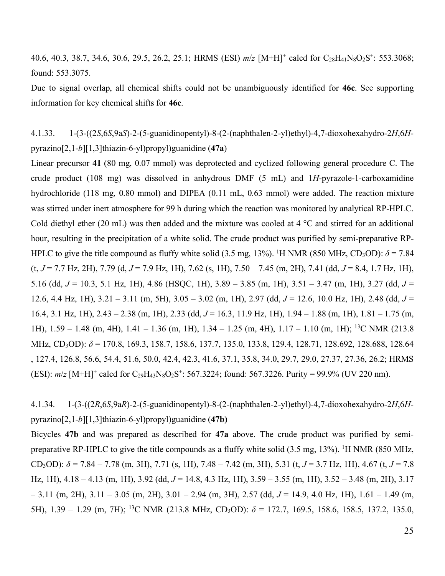40.6, 40.3, 38.7, 34.6, 30.6, 29.5, 26.2, 25.1; HRMS (ESI)  $m/z$  [M+H]<sup>+</sup> calcd for C<sub>28</sub>H<sub>41</sub>N<sub>8</sub>O<sub>2</sub>S<sup>+</sup>: 553.3068; found: 553.3075.

Due to signal overlap, all chemical shifts could not be unambiguously identified for **46c**. See supporting information for key chemical shifts for **46c**.

4.1.33. 1-(3-((2*S*,6*S*,9a*S*)-2-(5-guanidinopentyl)-8-(2-(naphthalen-2-yl)ethyl)-4,7-dioxohexahydro-2*H*,6*H*pyrazino[2,1-*b*][1,3]thiazin-6-yl)propyl)guanidine (**47a**)

Linear precursor **41** (80 mg, 0.07 mmol) was deprotected and cyclized following general procedure C. The crude product (108 mg) was dissolved in anhydrous DMF (5 mL) and 1*H*-pyrazole-1-carboxamidine hydrochloride (118 mg, 0.80 mmol) and DIPEA (0.11 mL, 0.63 mmol) were added. The reaction mixture was stirred under inert atmosphere for 99 h during which the reaction was monitored by analytical RP-HPLC. Cold diethyl ether (20 mL) was then added and the mixture was cooled at 4 °C and stirred for an additional hour, resulting in the precipitation of a white solid. The crude product was purified by semi-preparative RP-HPLC to give the title compound as fluffy white solid (3.5 mg, 13%). <sup>1</sup>H NMR (850 MHz, CD<sub>3</sub>OD):  $\delta$  = 7.84 (t, *J* = 7.7 Hz, 2H), 7.79 (d, *J* = 7.9 Hz, 1H), 7.62 (s, 1H), 7.50 – 7.45 (m, 2H), 7.41 (dd, *J* = 8.4, 1.7 Hz, 1H), 5.16 (dd, *J* = 10.3, 5.1 Hz, 1H), 4.86 (HSQC, 1H), 3.89 – 3.85 (m, 1H), 3.51 – 3.47 (m, 1H), 3.27 (dd, *J* = 12.6, 4.4 Hz, 1H), 3.21 – 3.11 (m, 5H), 3.05 – 3.02 (m, 1H), 2.97 (dd, *J* = 12.6, 10.0 Hz, 1H), 2.48 (dd, *J* = 16.4, 3.1 Hz, 1H), 2.43 – 2.38 (m, 1H), 2.33 (dd, *J* = 16.3, 11.9 Hz, 1H), 1.94 – 1.88 (m, 1H), 1.81 – 1.75 (m, 1H), 1.59 – 1.48 (m, 4H), 1.41 – 1.36 (m, 1H), 1.34 – 1.25 (m, 4H), 1.17 – 1.10 (m, 1H); 13C NMR (213.8 MHz, CD3OD): *δ* = 170.8, 169.3, 158.7, 158.6, 137.7, 135.0, 133.8, 129.4, 128.71, 128.692, 128.688, 128.64 , 127.4, 126.8, 56.6, 54.4, 51.6, 50.0, 42.4, 42.3, 41.6, 37.1, 35.8, 34.0, 29.7, 29.0, 27.37, 27.36, 26.2; HRMS (ESI):  $m/z$  [M+H]<sup>+</sup> calcd for C<sub>29</sub>H<sub>43</sub>N<sub>8</sub>O<sub>2</sub>S<sup>+</sup>: 567.3224; found: 567.3226. Purity = 99.9% (UV 220 nm).

4.1.34. 1-(3-((2*R*,6*S*,9a*R*)-2-(5-guanidinopentyl)-8-(2-(naphthalen-2-yl)ethyl)-4,7-dioxohexahydro-2*H*,6*H*pyrazino[2,1-*b*][1,3]thiazin-6-yl)propyl)guanidine (**47b)**

Bicycles **47b** and was prepared as described for **47a** above. The crude product was purified by semipreparative RP-HPLC to give the title compounds as a fluffy white solid  $(3.5 \text{ mg}, 13\%)$ . <sup>1</sup>H NMR (850 MHz, CD<sub>3</sub>OD):  $\delta$  = 7.84 – 7.78 (m, 3H), 7.71 (s, 1H), 7.48 – 7.42 (m, 3H), 5.31 (t, *J* = 3.7 Hz, 1H), 4.67 (t, *J* = 7.8 Hz, 1H), 4.18 – 4.13 (m, 1H), 3.92 (dd, *J* = 14.8, 4.3 Hz, 1H), 3.59 – 3.55 (m, 1H), 3.52 – 3.48 (m, 2H), 3.17 – 3.11 (m, 2H), 3.11 – 3.05 (m, 2H), 3.01 – 2.94 (m, 3H), 2.57 (dd, *J* = 14.9, 4.0 Hz, 1H), 1.61 – 1.49 (m, 5H), 1.39 – 1.29 (m, 7H); 13C NMR (213.8 MHz, CD3OD): *δ* = 172.7, 169.5, 158.6, 158.5, 137.2, 135.0,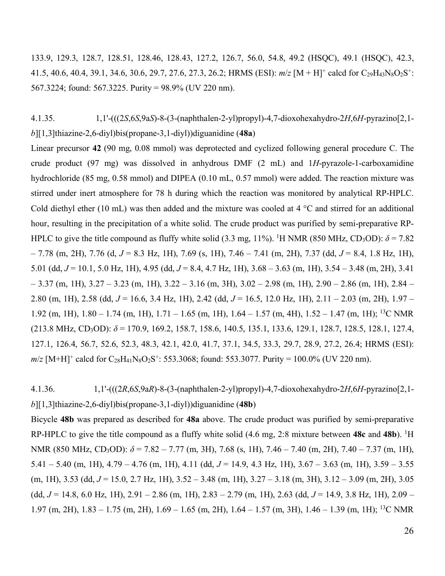133.9, 129.3, 128.7, 128.51, 128.46, 128.43, 127.2, 126.7, 56.0, 54.8, 49.2 (HSQC), 49.1 (HSQC), 42.3, 41.5, 40.6, 40.4, 39.1, 34.6, 30.6, 29.7, 27.6, 27.3, 26.2; HRMS (ESI):  $m/z$  [M + H]<sup>+</sup> calcd for C<sub>29</sub>H<sub>43</sub>N<sub>8</sub>O<sub>2</sub>S<sup>+</sup>: 567.3224; found: 567.3225. Purity = 98.9% (UV 220 nm).

4.1.35. 1,1'-(((2*S*,6*S*,9a*S*)-8-(3-(naphthalen-2-yl)propyl)-4,7-dioxohexahydro-2*H*,6*H*-pyrazino[2,1 *b*][1,3]thiazine-2,6-diyl)bis(propane-3,1-diyl))diguanidine (**48a**)

Linear precursor **42** (90 mg, 0.08 mmol) was deprotected and cyclized following general procedure C. The crude product (97 mg) was dissolved in anhydrous DMF (2 mL) and 1*H*-pyrazole-1-carboxamidine hydrochloride (85 mg, 0.58 mmol) and DIPEA (0.10 mL, 0.57 mmol) were added. The reaction mixture was stirred under inert atmosphere for 78 h during which the reaction was monitored by analytical RP-HPLC. Cold diethyl ether (10 mL) was then added and the mixture was cooled at 4 °C and stirred for an additional hour, resulting in the precipitation of a white solid. The crude product was purified by semi-preparative RP-HPLC to give the title compound as fluffy white solid (3.3 mg, 11%). <sup>1</sup>H NMR (850 MHz, CD<sub>3</sub>OD):  $\delta$  = 7.82 – 7.78 (m, 2H), 7.76 (d, *J* = 8.3 Hz, 1H), 7.69 (s, 1H), 7.46 – 7.41 (m, 2H), 7.37 (dd, *J* = 8.4, 1.8 Hz, 1H), 5.01 (dd, *J* = 10.1, 5.0 Hz, 1H), 4.95 (dd, *J* = 8.4, 4.7 Hz, 1H), 3.68 – 3.63 (m, 1H), 3.54 – 3.48 (m, 2H), 3.41  $- 3.37$  (m, 1H),  $3.27 - 3.23$  (m, 1H),  $3.22 - 3.16$  (m, 3H),  $3.02 - 2.98$  (m, 1H),  $2.90 - 2.86$  (m, 1H),  $2.84 -$ 2.80 (m, 1H), 2.58 (dd, *J* = 16.6, 3.4 Hz, 1H), 2.42 (dd, *J* = 16.5, 12.0 Hz, 1H), 2.11 – 2.03 (m, 2H), 1.97 – 1.92 (m, 1H), 1.80 – 1.74 (m, 1H), 1.71 – 1.65 (m, 1H), 1.64 – 1.57 (m, 4H), 1.52 – 1.47 (m, 1H); 13C NMR  $(213.8 \text{ MHz}, \text{CD}_3\text{OD})$ :  $\delta = 170.9$ , 169.2, 158.7, 158.6, 140.5, 135.1, 133.6, 129.1, 128.7, 128.5, 128.1, 127.4, 127.1, 126.4, 56.7, 52.6, 52.3, 48.3, 42.1, 42.0, 41.7, 37.1, 34.5, 33.3, 29.7, 28.9, 27.2, 26.4; HRMS (ESI):  $m/z$  [M+H]<sup>+</sup> calcd for C<sub>28</sub>H<sub>41</sub>N<sub>8</sub>O<sub>2</sub>S<sup>+</sup>: 553.3068; found: 553.3077. Purity = 100.0% (UV 220 nm).

4.1.36. 1,1'-(((2*R*,6*S*,9a*R*)-8-(3-(naphthalen-2-yl)propyl)-4,7-dioxohexahydro-2*H*,6*H*-pyrazino[2,1 *b*][1,3]thiazine-2,6-diyl)bis(propane-3,1-diyl))diguanidine (**48b**)

Bicycle **48b** was prepared as described for **48a** above. The crude product was purified by semi-preparative RP-HPLC to give the title compound as a fluffy white solid (4.6 mg, 2:8 mixture between 48c and 48b). <sup>1</sup>H NMR (850 MHz, CD<sub>3</sub>OD): *δ* = 7.82 – 7.77 (m, 3H), 7.68 (s, 1H), 7.46 – 7.40 (m, 2H), 7.40 – 7.37 (m, 1H), 5.41 – 5.40 (m, 1H), 4.79 – 4.76 (m, 1H), 4.11 (dd, *J* = 14.9, 4.3 Hz, 1H), 3.67 – 3.63 (m, 1H), 3.59 – 3.55 (m, 1H), 3.53 (dd, *J* = 15.0, 2.7 Hz, 1H), 3.52 – 3.48 (m, 1H), 3.27 – 3.18 (m, 3H), 3.12 – 3.09 (m, 2H), 3.05 (dd,  $J = 14.8$ , 6.0 Hz, 1H), 2.91 – 2.86 (m, 1H), 2.83 – 2.79 (m, 1H), 2.63 (dd,  $J = 14.9$ , 3.8 Hz, 1H), 2.09 – 1.97 (m, 2H), 1.83 – 1.75 (m, 2H), 1.69 – 1.65 (m, 2H), 1.64 – 1.57 (m, 3H), 1.46 – 1.39 (m, 1H); 13C NMR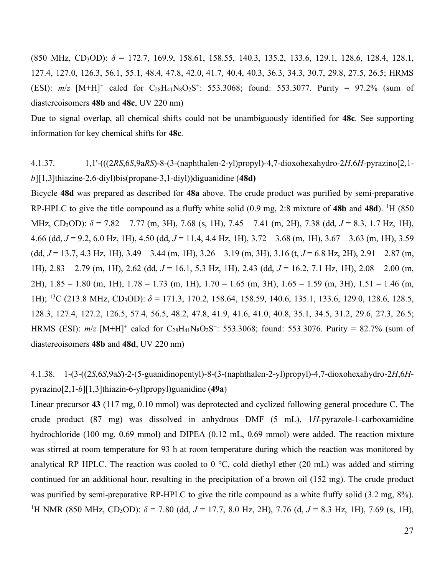(850 MHz, CD3OD): *δ* = 172.7, 169.9, 158.61, 158.55, 140.3, 135.2, 133.6, 129.1, 128.6, 128.4, 128.1, 127.4, 127.0, 126.3, 56.1, 55.1, 48.4, 47.8, 42.0, 41.7, 40.4, 40.3, 36.3, 34.3, 30.7, 29.8, 27.5, 26.5; HRMS (ESI):  $m/z$  [M+H]<sup>+</sup> calcd for C<sub>28</sub>H<sub>41</sub>N<sub>8</sub>O<sub>2</sub>S<sup>+</sup>: 553.3068; found: 553.3077. Purity = 97.2% (sum of diastereoisomers **48b** and **48c**, UV 220 nm)

Due to signal overlap, all chemical shifts could not be unambiguously identified for **48c**. See supporting information for key chemical shifts for **48c**.

# 4.1.37. 1,1'-(((2*RS*,6*S*,9a*RS*)-8-(3-(naphthalen-2-yl)propyl)-4,7-dioxohexahydro-2*H*,6*H*-pyrazino[2,1 *b*][1,3]thiazine-2,6-diyl)bis(propane-3,1-diyl))diguanidine (**48d)**

Bicycle **48d** was prepared as described for **48a** above. The crude product was purified by semi-preparative RP-HPLC to give the title compound as a fluffy white solid (0.9 mg, 2:8 mixture of **48b** and **48d**). 1H (850 MHz, CD3OD): *δ* = 7.82 – 7.77 (m, 3H), 7.68 (s, 1H), 7.45 – 7.41 (m, 2H), 7.38 (dd, *J* = 8.3, 1.7 Hz, 1H), 4.66 (dd, *J* = 9.2, 6.0 Hz, 1H), 4.50 (dd, *J* = 11.4, 4.4 Hz, 1H), 3.72 – 3.68 (m, 1H), 3.67 – 3.63 (m, 1H), 3.59 (dd, *J* = 13.7, 4.3 Hz, 1H), 3.49 – 3.44 (m, 1H), 3.26 – 3.19 (m, 3H), 3.16 (t, *J* = 6.8 Hz, 2H), 2.91 – 2.87 (m, 1H), 2.83 – 2.79 (m, 1H), 2.62 (dd, *J* = 16.1, 5.3 Hz, 1H), 2.43 (dd, *J* = 16.2, 7.1 Hz, 1H), 2.08 – 2.00 (m, 2H), 1.85 – 1.80 (m, 1H), 1.78 – 1.73 (m, 1H), 1.70 – 1.65 (m, 3H), 1.65 – 1.59 (m, 3H), 1.51 – 1.46 (m, 1H); 13C (213.8 MHz, CD3OD): *δ* = 171.3, 170.2, 158.64, 158.59, 140.6, 135.1, 133.6, 129.0, 128.6, 128.5, 128.3, 127.4, 127.2, 126.5, 57.4, 56.5, 48.2, 47.8, 41.9, 41.6, 41.0, 40.8, 35.1, 34.5, 31.2, 29.6, 27.3, 26.5; HRMS (ESI):  $m/z$  [M+H]<sup>+</sup> calcd for C<sub>28</sub>H<sub>41</sub>N<sub>8</sub>O<sub>2</sub>S<sup>+</sup>: 553.3068; found: 553.3076. Purity = 82.7% (sum of diastereoisomers **48b** and **48d**, UV 220 nm)

4.1.38. 1-(3-((2*S*,6*S*,9a*S*)-2-(5-guanidinopentyl)-8-(3-(naphthalen-2-yl)propyl)-4,7-dioxohexahydro-2*H*,6*H*pyrazino[2,1-*b*][1,3]thiazin-6-yl)propyl)guanidine (**49a**)

Linear precursor **43** (117 mg, 0.10 mmol) was deprotected and cyclized following general procedure C. The crude product (87 mg) was dissolved in anhydrous DMF (5 mL), 1*H*-pyrazole-1-carboxamidine hydrochloride (100 mg, 0.69 mmol) and DIPEA (0.12 mL, 0.69 mmol) were added. The reaction mixture was stirred at room temperature for 93 h at room temperature during which the reaction was monitored by analytical RP HPLC. The reaction was cooled to 0 °C, cold diethyl ether (20 mL) was added and stirring continued for an additional hour, resulting in the precipitation of a brown oil (152 mg). The crude product was purified by semi-preparative RP-HPLC to give the title compound as a white fluffy solid (3.2 mg, 8%). <sup>1</sup>H NMR (850 MHz, CD<sub>3</sub>OD):  $\delta$  = 7.80 (dd, *J* = 17.7, 8.0 Hz, 2H), 7.76 (d, *J* = 8.3 Hz, 1H), 7.69 (s, 1H),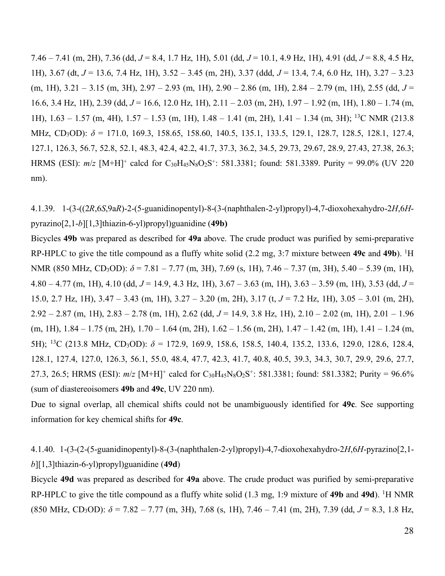7.46 – 7.41 (m, 2H), 7.36 (dd, *J* = 8.4, 1.7 Hz, 1H), 5.01 (dd, *J* = 10.1, 4.9 Hz, 1H), 4.91 (dd, *J* = 8.8, 4.5 Hz, 1H), 3.67 (dt, *J* = 13.6, 7.4 Hz, 1H), 3.52 – 3.45 (m, 2H), 3.37 (ddd, *J* = 13.4, 7.4, 6.0 Hz, 1H), 3.27 – 3.23 (m, 1H), 3.21 – 3.15 (m, 3H), 2.97 – 2.93 (m, 1H), 2.90 – 2.86 (m, 1H), 2.84 – 2.79 (m, 1H), 2.55 (dd, *J* = 16.6, 3.4 Hz, 1H), 2.39 (dd, *J* = 16.6, 12.0 Hz, 1H), 2.11 – 2.03 (m, 2H), 1.97 – 1.92 (m, 1H), 1.80 – 1.74 (m, 1H), 1.63 – 1.57 (m, 4H), 1.57 – 1.53 (m, 1H), 1.48 – 1.41 (m, 2H), 1.41 – 1.34 (m, 3H); 13C NMR (213.8 MHz, CD3OD): *δ* = 171.0, 169.3, 158.65, 158.60, 140.5, 135.1, 133.5, 129.1, 128.7, 128.5, 128.1, 127.4, 127.1, 126.3, 56.7, 52.8, 52.1, 48.3, 42.4, 42.2, 41.7, 37.3, 36.2, 34.5, 29.73, 29.67, 28.9, 27.43, 27.38, 26.3; HRMS (ESI):  $m/z$  [M+H]<sup>+</sup> calcd for C<sub>30</sub>H<sub>45</sub>N<sub>8</sub>O<sub>2</sub>S<sup>+</sup>: 581.3381; found: 581.3389. Purity = 99.0% (UV 220 nm).

4.1.39. 1-(3-((2*R*,6*S*,9a*R*)-2-(5-guanidinopentyl)-8-(3-(naphthalen-2-yl)propyl)-4,7-dioxohexahydro-2*H*,6*H*pyrazino[2,1-*b*][1,3]thiazin-6-yl)propyl)guanidine (**49b)**

Bicycles **49b** was prepared as described for **49a** above. The crude product was purified by semi-preparative RP-HPLC to give the title compound as a fluffy white solid (2.2 mg, 3:7 mixture between **49c** and **49b**). 1H NMR (850 MHz, CD<sub>3</sub>OD): *δ* = 7.81 – 7.77 (m, 3H), 7.69 (s, 1H), 7.46 – 7.37 (m, 3H), 5.40 – 5.39 (m, 1H), 4.80 – 4.77 (m, 1H), 4.10 (dd, *J* = 14.9, 4.3 Hz, 1H), 3.67 – 3.63 (m, 1H), 3.63 – 3.59 (m, 1H), 3.53 (dd, *J* = 15.0, 2.7 Hz, 1H), 3.47 – 3.43 (m, 1H), 3.27 – 3.20 (m, 2H), 3.17 (t, *J* = 7.2 Hz, 1H), 3.05 – 3.01 (m, 2H), 2.92 – 2.87 (m, 1H), 2.83 – 2.78 (m, 1H), 2.62 (dd, *J* = 14.9, 3.8 Hz, 1H), 2.10 – 2.02 (m, 1H), 2.01 – 1.96 (m, 1H), 1.84 – 1.75 (m, 2H), 1.70 – 1.64 (m, 2H), 1.62 – 1.56 (m, 2H), 1.47 – 1.42 (m, 1H), 1.41 – 1.24 (m, 5H); 13C (213.8 MHz, CD3OD): *δ* = 172.9, 169.9, 158.6, 158.5, 140.4, 135.2, 133.6, 129.0, 128.6, 128.4, 128.1, 127.4, 127.0, 126.3, 56.1, 55.0, 48.4, 47.7, 42.3, 41.7, 40.8, 40.5, 39.3, 34.3, 30.7, 29.9, 29.6, 27.7, 27.3, 26.5; HRMS (ESI):  $m/z$  [M+H]<sup>+</sup> calcd for C<sub>30</sub>H<sub>45</sub>N<sub>8</sub>O<sub>2</sub>S<sup>+</sup>: 581.3381; found: 581.3382; Purity = 96.6% (sum of diastereoisomers **49b** and **49c**, UV 220 nm).

Due to signal overlap, all chemical shifts could not be unambiguously identified for **49c**. See supporting information for key chemical shifts for **49c**.

# 4.1.40. 1-(3-(2-(5-guanidinopentyl)-8-(3-(naphthalen-2-yl)propyl)-4,7-dioxohexahydro-2*H*,6*H*-pyrazino[2,1 *b*][1,3]thiazin-6-yl)propyl)guanidine (**49d**)

Bicycle **49d** was prepared as described for **49a** above. The crude product was purified by semi-preparative RP-HPLC to give the title compound as a fluffy white solid (1.3 mg, 1:9 mixture of **49b** and **49d**). 1H NMR (850 MHz, CD3OD): *δ* = 7.82 – 7.77 (m, 3H), 7.68 (s, 1H), 7.46 – 7.41 (m, 2H), 7.39 (dd, *J* = 8.3, 1.8 Hz,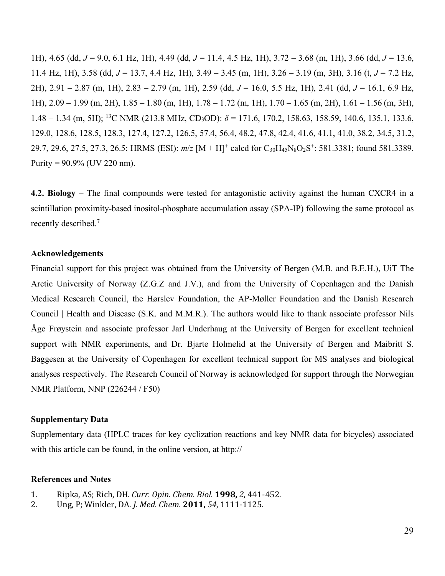1H), 4.65 (dd, *J* = 9.0, 6.1 Hz, 1H), 4.49 (dd, *J* = 11.4, 4.5 Hz, 1H), 3.72 – 3.68 (m, 1H), 3.66 (dd, *J* = 13.6, 11.4 Hz, 1H), 3.58 (dd,  $J = 13.7$ , 4.4 Hz, 1H), 3.49 – 3.45 (m, 1H), 3.26 – 3.19 (m, 3H), 3.16 (t,  $J = 7.2$  Hz, 2H), 2.91 – 2.87 (m, 1H), 2.83 – 2.79 (m, 1H), 2.59 (dd, *J* = 16.0, 5.5 Hz, 1H), 2.41 (dd, *J* = 16.1, 6.9 Hz, 1H), 2.09 – 1.99 (m, 2H), 1.85 – 1.80 (m, 1H), 1.78 – 1.72 (m, 1H), 1.70 – 1.65 (m, 2H), 1.61 – 1.56 (m, 3H), 1.48 – 1.34 (m, 5H); 13C NMR (213.8 MHz, CD3OD): *δ* = 171.6, 170.2, 158.63, 158.59, 140.6, 135.1, 133.6, 129.0, 128.6, 128.5, 128.3, 127.4, 127.2, 126.5, 57.4, 56.4, 48.2, 47.8, 42.4, 41.6, 41.1, 41.0, 38.2, 34.5, 31.2, 29.7, 29.6, 27.5, 27.3, 26.5: HRMS (ESI):  $m/z$  [M + H]<sup>+</sup> calcd for C<sub>30</sub>H<sub>45</sub>N<sub>8</sub>O<sub>2</sub>S<sup>+</sup>: 581.3381; found 581.3389. Purity =  $90.9\%$  (UV 220 nm).

**4.2. Biology** – The final compounds were tested for antagonistic activity against the human CXCR4 in a scintillation proximity-based inositol-phosphate accumulation assay (SPA-IP) following the same protocol as recently described. 7

# **Acknowledgements**

Financial support for this project was obtained from the University of Bergen (M.B. and B.E.H.), UiT The Arctic University of Norway (Z.G.Z and J.V.), and from the University of Copenhagen and the Danish Medical Research Council, the Hørslev Foundation, the AP-Møller Foundation and the Danish Research Council | Health and Disease (S.K. and M.M.R.). The authors would like to thank associate professor Nils Åge Frøystein and associate professor Jarl Underhaug at the University of Bergen for excellent technical support with NMR experiments, and Dr. Bjarte Holmelid at the University of Bergen and Maibritt S. Baggesen at the University of Copenhagen for excellent technical support for MS analyses and biological analyses respectively. The Research Council of Norway is acknowledged for support through the Norwegian NMR Platform, NNP (226244 / F50)

# **Supplementary Data**

Supplementary data (HPLC traces for key cyclization reactions and key NMR data for bicycles) associated with this article can be found, in the online version, at http://

# **References and Notes**

- 1. Ripka, AS; Rich, DH. *Curr. Opin. Chem. Biol.* **1998,** *2*, 441-452.
- 2. Ung, P; Winkler, DA. *J. Med. Chem.* **2011,** *54*, 1111-1125.